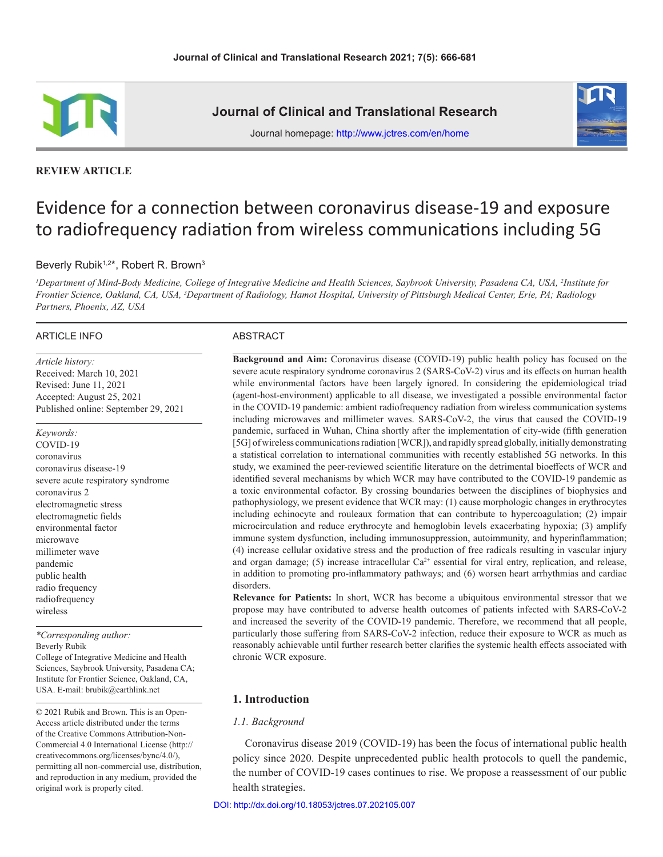

**REVIEW ARTICLE**

**Journal of Clinical and Translational Research**



Journal homepage: http://www.jctres.com/en/home

# Evidence for a connection between coronavirus disease-19 and exposure to radiofrequency radiation from wireless communications including 5G

# Beverly Rubik<sup>1,2\*</sup>, Robert R. Brown<sup>3</sup>

*1 Department of Mind-Body Medicine, College of Integrative Medicine and Health Sciences, Saybrook University, Pasadena CA, USA, 2 Institute for Frontier Science, Oakland, CA, USA, 3 Department of Radiology, Hamot Hospital, University of Pittsburgh Medical Center, Erie, PA; Radiology Partners, Phoenix, AZ, USA*

#### ARTICLE INFO

*Article history:* Received: March 10, 2021 Revised: June 11, 2021 Accepted: August 25, 2021 Published online: September 29, 2021

*Keywords:* COVID-19 coronavirus coronavirus disease-19 severe acute respiratory syndrome coronavirus 2 electromagnetic stress electromagnetic fields environmental factor microwave millimeter wave pandemic public health radio frequency radiofrequency wireless

*\*Corresponding author:* Beverly Rubik College of Integrative Medicine and Health Sciences, Saybrook University, Pasadena CA; Institute for Frontier Science, Oakland, CA, USA. E-mail: brubik@earthlink.net

© 2021 Rubik and Brown. This is an Open-Access article distributed under the terms of the Creative Commons Attribution-Non-Commercial 4.0 International License (http:// creativecommons.org/licenses/bync/4.0/), permitting all non-commercial use, distribution, and reproduction in any medium, provided the original work is properly cited.

#### ABSTRACT

**Background and Aim:** Coronavirus disease (COVID-19) public health policy has focused on the severe acute respiratory syndrome coronavirus 2 (SARS-CoV-2) virus and its effects on human health while environmental factors have been largely ignored. In considering the epidemiological triad (agent-host-environment) applicable to all disease, we investigated a possible environmental factor in the COVID-19 pandemic: ambient radiofrequency radiation from wireless communication systems including microwaves and millimeter waves. SARS-CoV-2, the virus that caused the COVID-19 pandemic, surfaced in Wuhan, China shortly after the implementation of city-wide (fifth generation [5G] of wireless communications radiation [WCR]), and rapidly spread globally, initially demonstrating a statistical correlation to international communities with recently established 5G networks. In this study, we examined the peer-reviewed scientific literature on the detrimental bioeffects of WCR and identified several mechanisms by which WCR may have contributed to the COVID-19 pandemic as a toxic environmental cofactor. By crossing boundaries between the disciplines of biophysics and pathophysiology, we present evidence that WCR may: (1) cause morphologic changes in erythrocytes including echinocyte and rouleaux formation that can contribute to hypercoagulation; (2) impair microcirculation and reduce erythrocyte and hemoglobin levels exacerbating hypoxia; (3) amplify immune system dysfunction, including immunosuppression, autoimmunity, and hyperinflammation; (4) increase cellular oxidative stress and the production of free radicals resulting in vascular injury and organ damage; (5) increase intracellular  $Ca<sup>2+</sup>$  essential for viral entry, replication, and release, in addition to promoting pro-inflammatory pathways; and (6) worsen heart arrhythmias and cardiac disorders.

**Relevance for Patients:** In short, WCR has become a ubiquitous environmental stressor that we propose may have contributed to adverse health outcomes of patients infected with SARS-CoV-2 and increased the severity of the COVID-19 pandemic. Therefore, we recommend that all people, particularly those suffering from SARS-CoV-2 infection, reduce their exposure to WCR as much as reasonably achievable until further research better clarifies the systemic health effects associated with chronic WCR exposure.

## **1. Introduction**

## *1.1. Background*

Coronavirus disease 2019 (COVID-19) has been the focus of international public health policy since 2020. Despite unprecedented public health protocols to quell the pandemic, the number of COVID-19 cases continues to rise. We propose a reassessment of our public health strategies.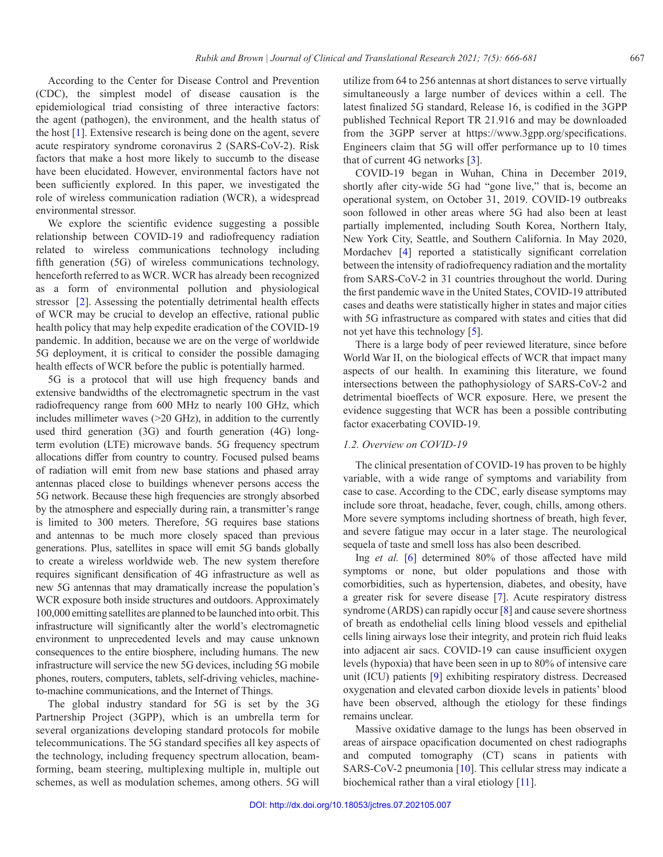According to the Center for Disease Control and Prevention (CDC), the simplest model of disease causation is the epidemiological triad consisting of three interactive factors: the agent (pathogen), the environment, and the health status of the host [[1\]](#page-10-0). Extensive research is being done on the agent, severe acute respiratory syndrome coronavirus 2 (SARS-CoV-2). Risk factors that make a host more likely to succumb to the disease have been elucidated. However, environmental factors have not been sufficiently explored. In this paper, we investigated the role of wireless communication radiation (WCR), a widespread environmental stressor.

We explore the scientific evidence suggesting a possible relationship between COVID-19 and radiofrequency radiation related to wireless communications technology including fifth generation (5G) of wireless communications technology, henceforth referred to as WCR. WCR has already been recognized as a form of environmental pollution and physiological stressor [[2\]](#page-10-1). Assessing the potentially detrimental health effects of WCR may be crucial to develop an effective, rational public health policy that may help expedite eradication of the COVID-19 pandemic. In addition, because we are on the verge of worldwide 5G deployment, it is critical to consider the possible damaging health effects of WCR before the public is potentially harmed.

5G is a protocol that will use high frequency bands and extensive bandwidths of the electromagnetic spectrum in the vast radiofrequency range from 600 MHz to nearly 100 GHz, which includes millimeter waves (>20 GHz), in addition to the currently used third generation (3G) and fourth generation (4G) longterm evolution (LTE) microwave bands. 5G frequency spectrum allocations differ from country to country. Focused pulsed beams of radiation will emit from new base stations and phased array antennas placed close to buildings whenever persons access the 5G network. Because these high frequencies are strongly absorbed by the atmosphere and especially during rain, a transmitter's range is limited to 300 meters. Therefore, 5G requires base stations and antennas to be much more closely spaced than previous generations. Plus, satellites in space will emit 5G bands globally to create a wireless worldwide web. The new system therefore requires significant densification of 4G infrastructure as well as new 5G antennas that may dramatically increase the population's WCR exposure both inside structures and outdoors. Approximately 100,000 emitting satellites are planned to be launched into orbit. This infrastructure will significantly alter the world's electromagnetic environment to unprecedented levels and may cause unknown consequences to the entire biosphere, including humans. The new infrastructure will service the new 5G devices, including 5G mobile phones, routers, computers, tablets, self-driving vehicles, machineto-machine communications, and the Internet of Things.

The global industry standard for 5G is set by the 3G Partnership Project (3GPP), which is an umbrella term for several organizations developing standard protocols for mobile telecommunications. The 5G standard specifies all key aspects of the technology, including frequency spectrum allocation, beamforming, beam steering, multiplexing multiple in, multiple out schemes, as well as modulation schemes, among others. 5G will

utilize from 64 to 256 antennas at short distances to serve virtually simultaneously a large number of devices within a cell. The latest finalized 5G standard, Release 16, is codified in the 3GPP published Technical Report TR 21.916 and may be downloaded from the 3GPP server at https://www.3gpp.org/specifications. Engineers claim that 5G will offer performance up to 10 times that of current 4G networks [[3\]](#page-10-2).

COVID-19 began in Wuhan, China in December 2019, shortly after city-wide 5G had "gone live," that is, become an operational system, on October 31, 2019. COVID-19 outbreaks soon followed in other areas where 5G had also been at least partially implemented, including South Korea, Northern Italy, New York City, Seattle, and Southern California. In May 2020, Mordachev [[4\]](#page-10-3) reported a statistically significant correlation between the intensity of radiofrequency radiation and the mortality from SARS-CoV-2 in 31 countries throughout the world. During the first pandemic wave in the United States, COVID-19 attributed cases and deaths were statistically higher in states and major cities with 5G infrastructure as compared with states and cities that did not yet have this technology [[5\].](#page-10-4)

There is a large body of peer reviewed literature, since before World War II, on the biological effects of WCR that impact many aspects of our health. In examining this literature, we found intersections between the pathophysiology of SARS-CoV-2 and detrimental bioeffects of WCR exposure. Here, we present the evidence suggesting that WCR has been a possible contributing factor exacerbating COVID-19.

## *1.2. Overview on COVID-19*

The clinical presentation of COVID-19 has proven to be highly variable, with a wide range of symptoms and variability from case to case. According to the CDC, early disease symptoms may include sore throat, headache, fever, cough, chills, among others. More severe symptoms including shortness of breath, high fever, and severe fatigue may occur in a later stage. The neurological sequela of taste and smell loss has also been described.

Ing *et al.* [[6](#page-10-5)] determined 80% of those affected have mild symptoms or none, but older populations and those with comorbidities, such as hypertension, diabetes, and obesity, have a greater risk for severe disease [[7](#page-10-6)]. Acute respiratory distress syndrome (ARDS) can rapidly occur [\[8\]](#page-10-7) and cause severe shortness of breath as endothelial cells lining blood vessels and epithelial cells lining airways lose their integrity, and protein rich fluid leaks into adjacent air sacs. COVID-19 can cause insufficient oxygen levels (hypoxia) that have been seen in up to 80% of intensive care unit (ICU) patients [[9\]](#page-10-8) exhibiting respiratory distress. Decreased oxygenation and elevated carbon dioxide levels in patients' blood have been observed, although the etiology for these findings remains unclear.

Massive oxidative damage to the lungs has been observed in areas of airspace opacification documented on chest radiographs and computed tomography (CT) scans in patients with SARS-CoV-2 pneumonia [[10\].](#page-10-9) This cellular stress may indicate a biochemical rather than a viral etiology [\[11\]](#page-10-10).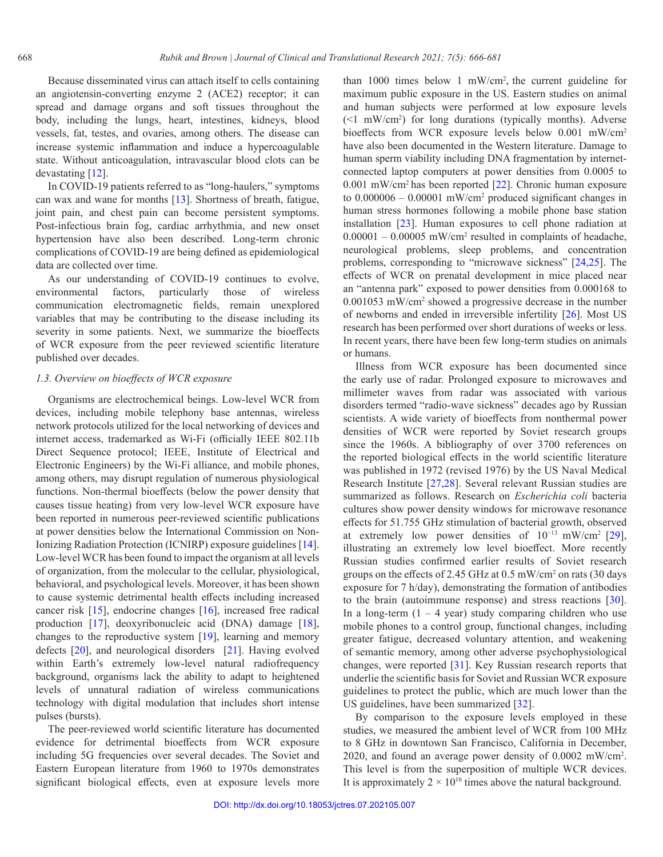Because disseminated virus can attach itself to cells containing an angiotensin-converting enzyme 2 (ACE2) receptor; it can spread and damage organs and soft tissues throughout the body, including the lungs, heart, intestines, kidneys, blood vessels, fat, testes, and ovaries, among others. The disease can increase systemic inflammation and induce a hypercoagulable state. Without anticoagulation, intravascular blood clots can be devastating [\[12\].](#page-10-11)

In COVID-19 patients referred to as "long-haulers," symptoms can wax and wane for months [[13\]](#page-10-12). Shortness of breath, fatigue, joint pain, and chest pain can become persistent symptoms. Post-infectious brain fog, cardiac arrhythmia, and new onset hypertension have also been described. Long-term chronic complications of COVID-19 are being defined as epidemiological data are collected over time.

As our understanding of COVID-19 continues to evolve, environmental factors, particularly those of wireless communication electromagnetic fields, remain unexplored variables that may be contributing to the disease including its severity in some patients. Next, we summarize the bioeffects of WCR exposure from the peer reviewed scientific literature published over decades.

#### *1.3. Overview on bioeffects of WCR exposure*

Organisms are electrochemical beings. Low-level WCR from devices, including mobile telephony base antennas, wireless network protocols utilized for the local networking of devices and internet access, trademarked as Wi-Fi (officially IEEE 802.11b Direct Sequence protocol; IEEE, Institute of Electrical and Electronic Engineers) by the Wi-Fi alliance, and mobile phones, among others, may disrupt regulation of numerous physiological functions. Non-thermal bioeffects (below the power density that causes tissue heating) from very low-level WCR exposure have been reported in numerous peer-reviewed scientific publications at power densities below the International Commission on Non-Ionizing Radiation Protection (ICNIRP) exposure guidelines [\[14\]](#page-10-13). Low-level WCR has been found to impact the organism at all levels of organization, from the molecular to the cellular, physiological, behavioral, and psychological levels. Moreover, it has been shown to cause systemic detrimental health effects including increased cancer risk [\[15\]](#page-10-14), endocrine changes [[16](#page-10-15)], increased free radical production [[17](#page-10-16)], deoxyribonucleic acid (DNA) damage [\[18\]](#page-10-17), changes to the reproductive system [[19\]](#page-10-18), learning and memory defects [[20\]](#page-10-19), and neurological disorders [[21\]](#page-10-20). Having evolved within Earth's extremely low-level natural radiofrequency background, organisms lack the ability to adapt to heightened levels of unnatural radiation of wireless communications technology with digital modulation that includes short intense pulses (bursts).

The peer-reviewed world scientific literature has documented evidence for detrimental bioeffects from WCR exposure including 5G frequencies over several decades. The Soviet and Eastern European literature from 1960 to 1970s demonstrates significant biological effects, even at exposure levels more

than 1000 times below 1 mW/cm2 , the current guideline for maximum public exposure in the US. Eastern studies on animal and human subjects were performed at low exposure levels (<1 mW/cm2 ) for long durations (typically months). Adverse bioeffects from WCR exposure levels below 0.001 mW/cm<sup>2</sup> have also been documented in the Western literature. Damage to human sperm viability including DNA fragmentation by internetconnected laptop computers at power densities from 0.0005 to 0.001 mW/cm2 has been reported [\[22\]](#page-10-21). Chronic human exposure to  $0.000006 - 0.00001$  mW/cm<sup>2</sup> produced significant changes in human stress hormones following a mobile phone base station installation [[23\]](#page-11-0). Human exposures to cell phone radiation at  $0.00001 - 0.00005$  mW/cm<sup>2</sup> resulted in complaints of headache, neurological problems, sleep problems, and concentration problems, corresponding to "microwave sickness" [\[24](#page-11-1),[25\]](#page-11-2). The effects of WCR on prenatal development in mice placed near an "antenna park" exposed to power densities from 0.000168 to 0.001053 mW/cm2 showed a progressive decrease in the number of newborns and ended in irreversible infertility [[26](#page-11-3)]. Most US research has been performed over short durations of weeks or less. In recent years, there have been few long-term studies on animals or humans.

Illness from WCR exposure has been documented since the early use of radar. Prolonged exposure to microwaves and millimeter waves from radar was associated with various disorders termed "radio-wave sickness" decades ago by Russian scientists. A wide variety of bioeffects from nonthermal power densities of WCR were reported by Soviet research groups since the 1960s. A bibliography of over 3700 references on the reported biological effects in the world scientific literature was published in 1972 (revised 1976) by the US Naval Medical Research Institute [[27](#page-11-4)[,28\].](#page-11-5) Several relevant Russian studies are summarized as follows. Research on *Escherichia coli* bacteria cultures show power density windows for microwave resonance effects for 51.755 GHz stimulation of bacterial growth, observed at extremely low power densities of 10−13 mW/cm2 [[29\]](#page-11-6), illustrating an extremely low level bioeffect. More recently Russian studies confirmed earlier results of Soviet research groups on the effects of 2.45 GHz at  $0.5 \text{ mW/cm}^2$  on rats (30 days exposure for 7 h/day), demonstrating the formation of antibodies to the brain (autoimmune response) and stress reactions [[30\]](#page-11-7). In a long-term  $(1 - 4$  year) study comparing children who use mobile phones to a control group, functional changes, including greater fatigue, decreased voluntary attention, and weakening of semantic memory, among other adverse psychophysiological changes, were reported [\[31\].](#page-11-8) Key Russian research reports that underlie the scientific basis for Soviet and Russian WCR exposure guidelines to protect the public, which are much lower than the US guidelines, have been summarized [[32\]](#page-11-9).

By comparison to the exposure levels employed in these studies, we measured the ambient level of WCR from 100 MHz to 8 GHz in downtown San Francisco, California in December, 2020, and found an average power density of 0.0002 mW/cm2 . This level is from the superposition of multiple WCR devices. It is approximately  $2 \times 10^{10}$  times above the natural background.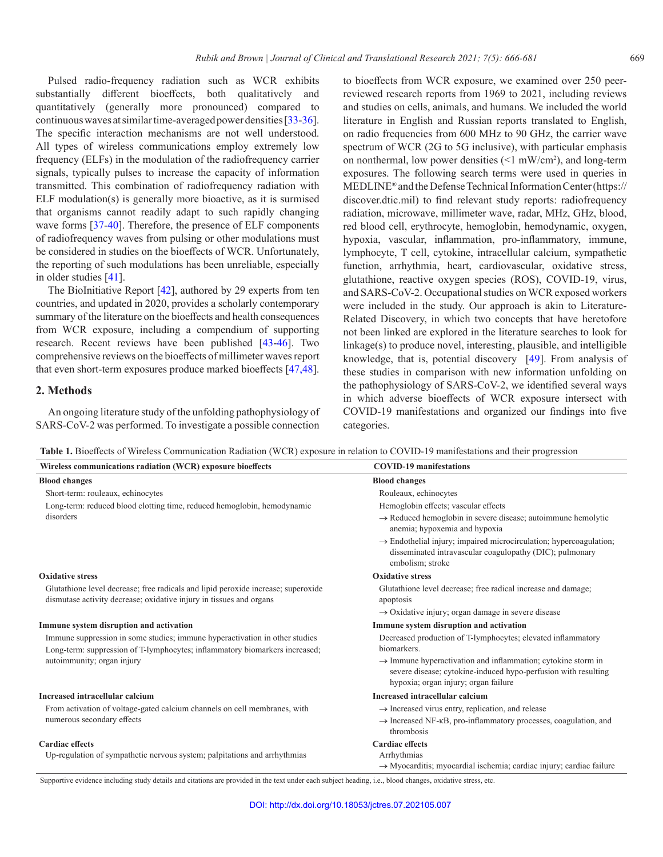<span id="page-3-0"></span>Pulsed radio-frequency radiation such as WCR exhibits substantially different bioeffects, both qualitatively and quantitatively (generally more pronounced) compared to continuous waves at similar time-averaged power densities [\[33-](#page-11-10)[36](#page-11-11)]. The specific interaction mechanisms are not well understood. All types of wireless communications employ extremely low frequency (ELFs) in the modulation of the radiofrequency carrier signals, typically pulses to increase the capacity of information transmitted. This combination of radiofrequency radiation with ELF modulation(s) is generally more bioactive, as it is surmised that organisms cannot readily adapt to such rapidly changing wave forms [[37](#page-11-12)-[40\].](#page-11-13) Therefore, the presence of ELF components of radiofrequency waves from pulsing or other modulations must be considered in studies on the bioeffects of WCR. Unfortunately, the reporting of such modulations has been unreliable, especially in older studies [[41\]](#page-11-14).

The BioInitiative Report [\[42\]](#page-11-15), authored by 29 experts from ten countries, and updated in 2020, provides a scholarly contemporary summary of the literature on the bioeffects and health consequences from WCR exposure, including a compendium of supporting research. Recent reviews have been published [\[43-](#page-11-16)[46](#page-11-17)]. Two comprehensive reviews on the bioeffects of millimeter waves report that even short-term exposures produce marked bioeffects [[47](#page-11-18)[,48\]](#page-11-19).

#### **2. Methods**

An ongoing literature study of the unfolding pathophysiology of SARS-CoV-2 was performed. To investigate a possible connection

to bioeffects from WCR exposure, we examined over 250 peerreviewed research reports from 1969 to 2021, including reviews and studies on cells, animals, and humans. We included the world literature in English and Russian reports translated to English, on radio frequencies from 600 MHz to 90 GHz, the carrier wave spectrum of WCR (2G to 5G inclusive), with particular emphasis on nonthermal, low power densities  $(1 \text{ mW/cm}^2)$ , and long-term exposures. The following search terms were used in queries in MEDLINE® and the Defense Technical Information Center (https:// discover.dtic.mil) to find relevant study reports: radiofrequency radiation, microwave, millimeter wave, radar, MHz, GHz, blood, red blood cell, erythrocyte, hemoglobin, hemodynamic, oxygen, hypoxia, vascular, inflammation, pro-inflammatory, immune, lymphocyte, T cell, cytokine, intracellular calcium, sympathetic function, arrhythmia, heart, cardiovascular, oxidative stress, glutathione, reactive oxygen species (ROS), COVID-19, virus, and SARS-CoV-2. Occupational studies on WCR exposed workers were included in the study. Our approach is akin to Literature-Related Discovery, in which two concepts that have heretofore not been linked are explored in the literature searches to look for linkage(s) to produce novel, interesting, plausible, and intelligible knowledge, that is, potential discovery [[49\]](#page-11-20). From analysis of these studies in comparison with new information unfolding on the pathophysiology of SARS-CoV-2, we identified several ways in which adverse bioeffects of WCR exposure intersect with COVID-19 manifestations and organized our findings into five categories.

**Table 1.** Bioeffects of Wireless Communication Radiation (WCR) exposure in relation to COVID-19 manifestations and their progression

| Wireless communications radiation (WCR) exposure bioeffects<br><b>COVID-19 manifestations</b><br><b>Blood changes</b><br><b>Blood changes</b><br>Short-term: rouleaux, echinocytes<br>Rouleaux, echinocytes<br>Long-term: reduced blood clotting time, reduced hemoglobin, hemodynamic<br>Hemoglobin effects; vascular effects<br>disorders<br>$\rightarrow$ Reduced hemoglobin in severe disease; autoimmune hemolytic<br>anemia; hypoxemia and hypoxia<br>$\rightarrow$ Endothelial injury; impaired microcirculation; hypercoagulation;<br>disseminated intravascular coagulopathy (DIC); pulmonary<br>embolism; stroke<br><b>Oxidative stress</b><br><b>Oxidative stress</b><br>Glutathione level decrease; free radicals and lipid peroxide increase; superoxide<br>Glutathione level decrease; free radical increase and damage;<br>dismutase activity decrease; oxidative injury in tissues and organs<br>apoptosis<br>$\rightarrow$ Oxidative injury; organ damage in severe disease<br>Immune system disruption and activation<br>Immune system disruption and activation<br>Immune suppression in some studies; immune hyperactivation in other studies<br>Decreased production of T-lymphocytes; elevated inflammatory<br>biomarkers.<br>Long-term: suppression of T-lymphocytes; inflammatory biomarkers increased;<br>autoimmunity; organ injury<br>$\rightarrow$ Immune hyperactivation and inflammation; cytokine storm in<br>severe disease; cytokine-induced hypo-perfusion with resulting<br>hypoxia; organ injury; organ failure<br>Increased intracellular calcium<br>Increased intracellular calcium<br>From activation of voltage-gated calcium channels on cell membranes, with<br>$\rightarrow$ Increased virus entry, replication, and release<br>numerous secondary effects<br>$\rightarrow$ Increased NF- $\kappa$ B, pro-inflammatory processes, coagulation, and<br>thrombosis<br><b>Cardiac</b> effects<br><b>Cardiac</b> effects<br>Up-regulation of sympathetic nervous system; palpitations and arrhythmias<br>Arrhythmias |  |
|-------------------------------------------------------------------------------------------------------------------------------------------------------------------------------------------------------------------------------------------------------------------------------------------------------------------------------------------------------------------------------------------------------------------------------------------------------------------------------------------------------------------------------------------------------------------------------------------------------------------------------------------------------------------------------------------------------------------------------------------------------------------------------------------------------------------------------------------------------------------------------------------------------------------------------------------------------------------------------------------------------------------------------------------------------------------------------------------------------------------------------------------------------------------------------------------------------------------------------------------------------------------------------------------------------------------------------------------------------------------------------------------------------------------------------------------------------------------------------------------------------------------------------------------------------------------------------------------------------------------------------------------------------------------------------------------------------------------------------------------------------------------------------------------------------------------------------------------------------------------------------------------------------------------------------------------------------------------------------------------------------------------------------------------------------------|--|
|                                                                                                                                                                                                                                                                                                                                                                                                                                                                                                                                                                                                                                                                                                                                                                                                                                                                                                                                                                                                                                                                                                                                                                                                                                                                                                                                                                                                                                                                                                                                                                                                                                                                                                                                                                                                                                                                                                                                                                                                                                                             |  |
|                                                                                                                                                                                                                                                                                                                                                                                                                                                                                                                                                                                                                                                                                                                                                                                                                                                                                                                                                                                                                                                                                                                                                                                                                                                                                                                                                                                                                                                                                                                                                                                                                                                                                                                                                                                                                                                                                                                                                                                                                                                             |  |
|                                                                                                                                                                                                                                                                                                                                                                                                                                                                                                                                                                                                                                                                                                                                                                                                                                                                                                                                                                                                                                                                                                                                                                                                                                                                                                                                                                                                                                                                                                                                                                                                                                                                                                                                                                                                                                                                                                                                                                                                                                                             |  |
|                                                                                                                                                                                                                                                                                                                                                                                                                                                                                                                                                                                                                                                                                                                                                                                                                                                                                                                                                                                                                                                                                                                                                                                                                                                                                                                                                                                                                                                                                                                                                                                                                                                                                                                                                                                                                                                                                                                                                                                                                                                             |  |
|                                                                                                                                                                                                                                                                                                                                                                                                                                                                                                                                                                                                                                                                                                                                                                                                                                                                                                                                                                                                                                                                                                                                                                                                                                                                                                                                                                                                                                                                                                                                                                                                                                                                                                                                                                                                                                                                                                                                                                                                                                                             |  |
|                                                                                                                                                                                                                                                                                                                                                                                                                                                                                                                                                                                                                                                                                                                                                                                                                                                                                                                                                                                                                                                                                                                                                                                                                                                                                                                                                                                                                                                                                                                                                                                                                                                                                                                                                                                                                                                                                                                                                                                                                                                             |  |
|                                                                                                                                                                                                                                                                                                                                                                                                                                                                                                                                                                                                                                                                                                                                                                                                                                                                                                                                                                                                                                                                                                                                                                                                                                                                                                                                                                                                                                                                                                                                                                                                                                                                                                                                                                                                                                                                                                                                                                                                                                                             |  |
|                                                                                                                                                                                                                                                                                                                                                                                                                                                                                                                                                                                                                                                                                                                                                                                                                                                                                                                                                                                                                                                                                                                                                                                                                                                                                                                                                                                                                                                                                                                                                                                                                                                                                                                                                                                                                                                                                                                                                                                                                                                             |  |
|                                                                                                                                                                                                                                                                                                                                                                                                                                                                                                                                                                                                                                                                                                                                                                                                                                                                                                                                                                                                                                                                                                                                                                                                                                                                                                                                                                                                                                                                                                                                                                                                                                                                                                                                                                                                                                                                                                                                                                                                                                                             |  |
|                                                                                                                                                                                                                                                                                                                                                                                                                                                                                                                                                                                                                                                                                                                                                                                                                                                                                                                                                                                                                                                                                                                                                                                                                                                                                                                                                                                                                                                                                                                                                                                                                                                                                                                                                                                                                                                                                                                                                                                                                                                             |  |
|                                                                                                                                                                                                                                                                                                                                                                                                                                                                                                                                                                                                                                                                                                                                                                                                                                                                                                                                                                                                                                                                                                                                                                                                                                                                                                                                                                                                                                                                                                                                                                                                                                                                                                                                                                                                                                                                                                                                                                                                                                                             |  |
|                                                                                                                                                                                                                                                                                                                                                                                                                                                                                                                                                                                                                                                                                                                                                                                                                                                                                                                                                                                                                                                                                                                                                                                                                                                                                                                                                                                                                                                                                                                                                                                                                                                                                                                                                                                                                                                                                                                                                                                                                                                             |  |
|                                                                                                                                                                                                                                                                                                                                                                                                                                                                                                                                                                                                                                                                                                                                                                                                                                                                                                                                                                                                                                                                                                                                                                                                                                                                                                                                                                                                                                                                                                                                                                                                                                                                                                                                                                                                                                                                                                                                                                                                                                                             |  |
|                                                                                                                                                                                                                                                                                                                                                                                                                                                                                                                                                                                                                                                                                                                                                                                                                                                                                                                                                                                                                                                                                                                                                                                                                                                                                                                                                                                                                                                                                                                                                                                                                                                                                                                                                                                                                                                                                                                                                                                                                                                             |  |
|                                                                                                                                                                                                                                                                                                                                                                                                                                                                                                                                                                                                                                                                                                                                                                                                                                                                                                                                                                                                                                                                                                                                                                                                                                                                                                                                                                                                                                                                                                                                                                                                                                                                                                                                                                                                                                                                                                                                                                                                                                                             |  |
|                                                                                                                                                                                                                                                                                                                                                                                                                                                                                                                                                                                                                                                                                                                                                                                                                                                                                                                                                                                                                                                                                                                                                                                                                                                                                                                                                                                                                                                                                                                                                                                                                                                                                                                                                                                                                                                                                                                                                                                                                                                             |  |
| $\rightarrow$ Myocarditis; myocardial ischemia; cardiac injury; cardiac failure                                                                                                                                                                                                                                                                                                                                                                                                                                                                                                                                                                                                                                                                                                                                                                                                                                                                                                                                                                                                                                                                                                                                                                                                                                                                                                                                                                                                                                                                                                                                                                                                                                                                                                                                                                                                                                                                                                                                                                             |  |

Supportive evidence including study details and citations are provided in the text under each subject heading, i.e., blood changes, oxidative stress, etc.

÷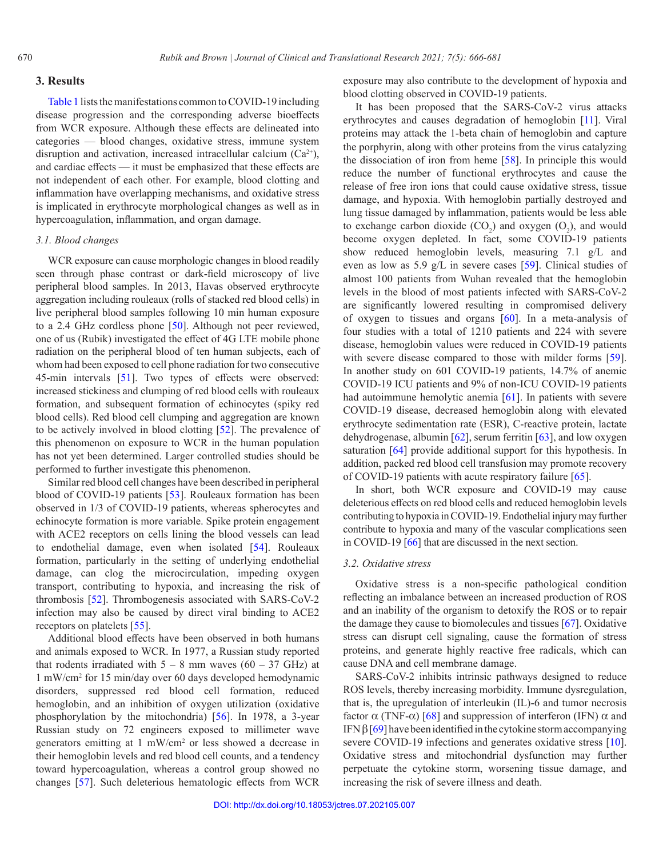#### **3. Results**

[Table](#page-3-0) 1 lists the manifestations common to COVID-19 including disease progression and the corresponding adverse bioeffects from WCR exposure. Although these effects are delineated into categories — blood changes, oxidative stress, immune system disruption and activation, increased intracellular calcium  $(Ca^{2+})$ , and cardiac effects — it must be emphasized that these effects are not independent of each other. For example, blood clotting and inflammation have overlapping mechanisms, and oxidative stress is implicated in erythrocyte morphological changes as well as in hypercoagulation, inflammation, and organ damage.

## *3.1. Blood changes*

WCR exposure can cause morphologic changes in blood readily seen through phase contrast or dark-field microscopy of live peripheral blood samples. In 2013, Havas observed erythrocyte aggregation including rouleaux (rolls of stacked red blood cells) in live peripheral blood samples following 10 min human exposure to a 2.4 GHz cordless phone [[50\]](#page-12-0). Although not peer reviewed, one of us (Rubik) investigated the effect of 4G LTE mobile phone radiation on the peripheral blood of ten human subjects, each of whom had been exposed to cell phone radiation for two consecutive 45-min intervals [[51\]](#page-12-1). Two types of effects were observed: increased stickiness and clumping of red blood cells with rouleaux formation, and subsequent formation of echinocytes (spiky red blood cells). Red blood cell clumping and aggregation are known to be actively involved in blood clotting [\[52\]](#page-12-2). The prevalence of this phenomenon on exposure to WCR in the human population has not yet been determined. Larger controlled studies should be performed to further investigate this phenomenon.

Similar red blood cell changes have been described in peripheral blood of COVID-19 patients [\[53\].](#page-12-3) Rouleaux formation has been observed in 1/3 of COVID-19 patients, whereas spherocytes and echinocyte formation is more variable. Spike protein engagement with ACE2 receptors on cells lining the blood vessels can lead to endothelial damage, even when isolated [\[54\]](#page-12-4). Rouleaux formation, particularly in the setting of underlying endothelial damage, can clog the microcirculation, impeding oxygen transport, contributing to hypoxia, and increasing the risk of thrombosis [\[52\].](#page-12-2) Thrombogenesis associated with SARS-CoV-2 infection may also be caused by direct viral binding to ACE2 receptors on platelets [[55\]](#page-12-5).

Additional blood effects have been observed in both humans and animals exposed to WCR. In 1977, a Russian study reported that rodents irradiated with  $5 - 8$  mm waves  $(60 - 37 \text{ GHz})$  at 1 mW/cm2 for 15 min/day over 60 days developed hemodynamic disorders, suppressed red blood cell formation, reduced hemoglobin, and an inhibition of oxygen utilization (oxidative phosphorylation by the mitochondria) [[56](#page-12-6)]. In 1978, a 3-year Russian study on 72 engineers exposed to millimeter wave generators emitting at 1 mW/cm<sup>2</sup> or less showed a decrease in their hemoglobin levels and red blood cell counts, and a tendency toward hypercoagulation, whereas a control group showed no changes [[57](#page-12-7)]. Such deleterious hematologic effects from WCR

exposure may also contribute to the development of hypoxia and blood clotting observed in COVID-19 patients.

It has been proposed that the SARS-CoV-2 virus attacks erythrocytes and causes degradation of hemoglobin [\[11\]](#page-10-10). Viral proteins may attack the 1-beta chain of hemoglobin and capture the porphyrin, along with other proteins from the virus catalyzing the dissociation of iron from heme [\[58\].](#page-12-8) In principle this would reduce the number of functional erythrocytes and cause the release of free iron ions that could cause oxidative stress, tissue damage, and hypoxia. With hemoglobin partially destroyed and lung tissue damaged by inflammation, patients would be less able to exchange carbon dioxide  $(CO_2)$  and oxygen  $(O_2)$ , and would become oxygen depleted. In fact, some COVID-19 patients show reduced hemoglobin levels, measuring 7.1 g/L and even as low as 5.9 g/L in severe cases [\[59\].](#page-12-9) Clinical studies of almost 100 patients from Wuhan revealed that the hemoglobin levels in the blood of most patients infected with SARS-CoV-2 are significantly lowered resulting in compromised delivery of oxygen to tissues and organs [[60](#page-12-10)]. In a meta-analysis of four studies with a total of 1210 patients and 224 with severe disease, hemoglobin values were reduced in COVID-19 patients with severe disease compared to those with milder forms [\[59\]](#page-12-9). In another study on 601 COVID-19 patients, 14.7% of anemic COVID-19 ICU patients and 9% of non-ICU COVID-19 patients had autoimmune hemolytic anemia [[61](#page-12-11)]. In patients with severe COVID-19 disease, decreased hemoglobin along with elevated erythrocyte sedimentation rate (ESR), C-reactive protein, lactate dehydrogenase, albumin [[62](#page-12-12)], serum ferritin [[63](#page-12-13)], and low oxygen saturation [[64](#page-12-14)] provide additional support for this hypothesis. In addition, packed red blood cell transfusion may promote recovery of COVID-19 patients with acute respiratory failure [[65](#page-12-15)].

In short, both WCR exposure and COVID-19 may cause deleterious effects on red blood cells and reduced hemoglobin levels contributing to hypoxia in COVID-19. Endothelial injury may further contribute to hypoxia and many of the vascular complications seen in COVID-19 [[66](#page-12-16)] that are discussed in the next section.

## *3.2. Oxidative stress*

Oxidative stress is a non-specific pathological condition reflecting an imbalance between an increased production of ROS and an inability of the organism to detoxify the ROS or to repair the damage they cause to biomolecules and tissues [[67](#page-12-17)]. Oxidative stress can disrupt cell signaling, cause the formation of stress proteins, and generate highly reactive free radicals, which can cause DNA and cell membrane damage.

SARS-CoV-2 inhibits intrinsic pathways designed to reduce ROS levels, thereby increasing morbidity. Immune dysregulation, that is, the upregulation of interleukin (IL)-6 and tumor necrosis factor  $\alpha$  (TNF- $\alpha$ ) [[68](#page-12-18)] and suppression of interferon (IFN)  $\alpha$  and IFN  $β$  [[69](#page-12-19)] have been identified in the cytokine storm accompanying severe COVID-19 infections and generates oxidative stress [\[10\]](#page-10-9). Oxidative stress and mitochondrial dysfunction may further perpetuate the cytokine storm, worsening tissue damage, and increasing the risk of severe illness and death.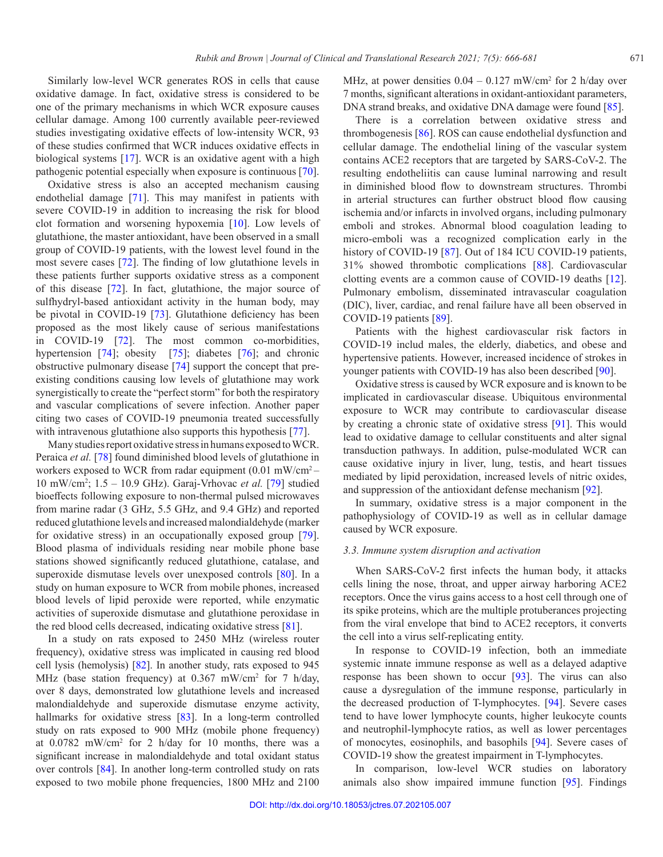Similarly low-level WCR generates ROS in cells that cause oxidative damage. In fact, oxidative stress is considered to be one of the primary mechanisms in which WCR exposure causes cellular damage. Among 100 currently available peer-reviewed studies investigating oxidative effects of low-intensity WCR, 93 of these studies confirmed that WCR induces oxidative effects in biological systems [[17](#page-10-16)]. WCR is an oxidative agent with a high pathogenic potential especially when exposure is continuous [[70](#page-12-20)].

Oxidative stress is also an accepted mechanism causing endothelial damage [[71](#page-12-21)]. This may manifest in patients with severe COVID-19 in addition to increasing the risk for blood clot formation and worsening hypoxemia [[10\]](#page-10-9). Low levels of glutathione, the master antioxidant, have been observed in a small group of COVID-19 patients, with the lowest level found in the most severe cases [[72](#page-12-22)]. The finding of low glutathione levels in these patients further supports oxidative stress as a component of this disease [[72](#page-12-22)]. In fact, glutathione, the major source of sulfhydryl-based antioxidant activity in the human body, may be pivotal in COVID-19 [[73](#page-12-23)]. Glutathione deficiency has been proposed as the most likely cause of serious manifestations in COVID-19 [[72](#page-12-22)]. The most common co-morbidities, hypertension [[74](#page-12-24)]; obesity [[75](#page-12-25)]; diabetes [[76](#page-12-26)]; and chronic obstructive pulmonary disease [[74](#page-12-24)] support the concept that preexisting conditions causing low levels of glutathione may work synergistically to create the "perfect storm" for both the respiratory and vascular complications of severe infection. Another paper citing two cases of COVID-19 pneumonia treated successfully with intravenous glutathione also supports this hypothesis [[77](#page-12-27)].

Many studies report oxidative stress in humans exposed to WCR. Peraica *et al.* [[78](#page-12-28)] found diminished blood levels of glutathione in workers exposed to WCR from radar equipment (0.01 mW/cm2 – 10 mW/cm2 ; 1.5 – 10.9 GHz). Garaj-Vrhovac *et al.* [[79](#page-13-0)] studied bioeffects following exposure to non-thermal pulsed microwaves from marine radar (3 GHz, 5.5 GHz, and 9.4 GHz) and reported reduced glutathione levels and increased malondialdehyde (marker for oxidative stress) in an occupationally exposed group [[79](#page-13-0)]. Blood plasma of individuals residing near mobile phone base stations showed significantly reduced glutathione, catalase, and superoxide dismutase levels over unexposed controls [[80\]](#page-13-1). In a study on human exposure to WCR from mobile phones, increased blood levels of lipid peroxide were reported, while enzymatic activities of superoxide dismutase and glutathione peroxidase in the red blood cells decreased, indicating oxidative stress [[81\]](#page-13-2).

In a study on rats exposed to 2450 MHz (wireless router frequency), oxidative stress was implicated in causing red blood cell lysis (hemolysis) [\[82\].](#page-13-3) In another study, rats exposed to 945 MHz (base station frequency) at 0.367 mW/cm<sup>2</sup> for 7 h/day, over 8 days, demonstrated low glutathione levels and increased malondialdehyde and superoxide dismutase enzyme activity, hallmarks for oxidative stress [[83\].](#page-13-4) In a long-term controlled study on rats exposed to 900 MHz (mobile phone frequency) at 0.0782 mW/cm<sup>2</sup> for 2 h/day for 10 months, there was a significant increase in malondialdehyde and total oxidant status over controls [[84\].](#page-13-5) In another long-term controlled study on rats exposed to two mobile phone frequencies, 1800 MHz and 2100

MHz, at power densities  $0.04 - 0.127$  mW/cm<sup>2</sup> for 2 h/day over 7 months, significant alterations in oxidant-antioxidant parameters, DNA strand breaks, and oxidative DNA damage were found [[85\].](#page-13-6)

There is a correlation between oxidative stress and thrombogenesis [[86](#page-13-7)]. ROS can cause endothelial dysfunction and cellular damage. The endothelial lining of the vascular system contains ACE2 receptors that are targeted by SARS-CoV-2. The resulting endotheliitis can cause luminal narrowing and result in diminished blood flow to downstream structures. Thrombi in arterial structures can further obstruct blood flow causing ischemia and/or infarcts in involved organs, including pulmonary emboli and strokes. Abnormal blood coagulation leading to micro-emboli was a recognized complication early in the history of COVID-19 [[87](#page-13-8)]. Out of 184 ICU COVID-19 patients, 31% showed thrombotic complications [[88\]](#page-13-9). Cardiovascular clotting events are a common cause of COVID-19 deaths [\[12\]](#page-10-11). Pulmonary embolism, disseminated intravascular coagulation (DIC), liver, cardiac, and renal failure have all been observed in COVID-19 patients [\[89\].](#page-13-10)

Patients with the highest cardiovascular risk factors in COVID-19 includ males, the elderly, diabetics, and obese and hypertensive patients. However, increased incidence of strokes in younger patients with COVID-19 has also been described [[90\].](#page-13-11)

Oxidative stress is caused by WCR exposure and is known to be implicated in cardiovascular disease. Ubiquitous environmental exposure to WCR may contribute to cardiovascular disease by creating a chronic state of oxidative stress [\[91\]](#page-13-12). This would lead to oxidative damage to cellular constituents and alter signal transduction pathways. In addition, pulse-modulated WCR can cause oxidative injury in liver, lung, testis, and heart tissues mediated by lipid peroxidation, increased levels of nitric oxides, and suppression of the antioxidant defense mechanism [\[92\]](#page-13-13).

In summary, oxidative stress is a major component in the pathophysiology of COVID-19 as well as in cellular damage caused by WCR exposure.

#### *3.3. Immune system disruption and activation*

When SARS-CoV-2 first infects the human body, it attacks cells lining the nose, throat, and upper airway harboring ACE2 receptors. Once the virus gains access to a host cell through one of its spike proteins, which are the multiple protuberances projecting from the viral envelope that bind to ACE2 receptors, it converts the cell into a virus self-replicating entity.

In response to COVID-19 infection, both an immediate systemic innate immune response as well as a delayed adaptive response has been shown to occur [\[93\]](#page-13-14). The virus can also cause a dysregulation of the immune response, particularly in the decreased production of T-lymphocytes. [\[94\].](#page-13-15) Severe cases tend to have lower lymphocyte counts, higher leukocyte counts and neutrophil-lymphocyte ratios, as well as lower percentages of monocytes, eosinophils, and basophils [[94\].](#page-13-15) Severe cases of COVID-19 show the greatest impairment in T-lymphocytes.

In comparison, low-level WCR studies on laboratory animals also show impaired immune function [[95\]](#page-13-16). Findings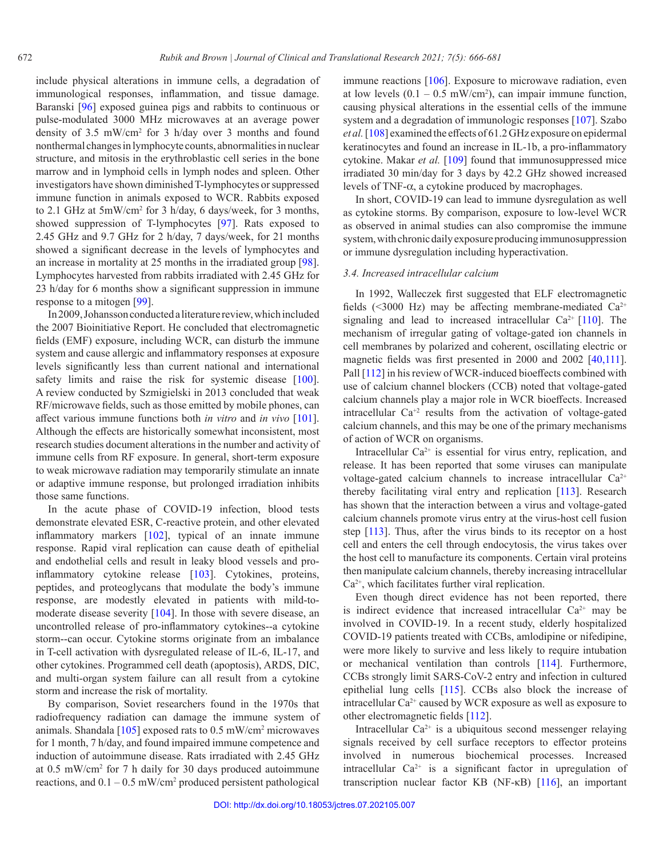include physical alterations in immune cells, a degradation of immunological responses, inflammation, and tissue damage. Baranski [[96](#page-13-17)] exposed guinea pigs and rabbits to continuous or pulse-modulated 3000 MHz microwaves at an average power density of 3.5 mW/cm2 for 3 h/day over 3 months and found nonthermal changes in lymphocyte counts, abnormalities in nuclear structure, and mitosis in the erythroblastic cell series in the bone marrow and in lymphoid cells in lymph nodes and spleen. Other investigators have shown diminished T-lymphocytes or suppressed immune function in animals exposed to WCR. Rabbits exposed to 2.1 GHz at 5mW/cm<sup>2</sup> for 3 h/day, 6 days/week, for 3 months, showed suppression of T-lymphocytes [[97](#page-13-18)]. Rats exposed to 2.45 GHz and 9.7 GHz for 2 h/day, 7 days/week, for 21 months showed a significant decrease in the levels of lymphocytes and an increase in mortality at 25 months in the irradiated group [\[98\]](#page-13-19). Lymphocytes harvested from rabbits irradiated with 2.45 GHz for 23 h/day for 6 months show a significant suppression in immune response to a mitogen [\[99\].](#page-13-20)

In 2009, Johansson conducted a literature review, which included the 2007 Bioinitiative Report. He concluded that electromagnetic fields (EMF) exposure, including WCR, can disturb the immune system and cause allergic and inflammatory responses at exposure levels significantly less than current national and international safety limits and raise the risk for systemic disease [\[100\]](#page-13-21). A review conducted by Szmigielski in 2013 concluded that weak RF/microwave fields, such as those emitted by mobile phones, can affect various immune functions both *in vitro* and *in vivo* [\[101\]](#page-13-22). Although the effects are historically somewhat inconsistent, most research studies document alterations in the number and activity of immune cells from RF exposure. In general, short-term exposure to weak microwave radiation may temporarily stimulate an innate or adaptive immune response, but prolonged irradiation inhibits those same functions.

In the acute phase of COVID-19 infection, blood tests demonstrate elevated ESR, C-reactive protein, and other elevated inflammatory markers [[102\],](#page-13-23) typical of an innate immune response. Rapid viral replication can cause death of epithelial and endothelial cells and result in leaky blood vessels and proinflammatory cytokine release [[103\]](#page-13-24). Cytokines, proteins, peptides, and proteoglycans that modulate the body's immune response, are modestly elevated in patients with mild-tomoderate disease severity [[104\]](#page-13-25). In those with severe disease, an uncontrolled release of pro-inflammatory cytokines--a cytokine storm--can occur. Cytokine storms originate from an imbalance in T-cell activation with dysregulated release of IL-6, IL-17, and other cytokines. Programmed cell death (apoptosis), ARDS, DIC, and multi-organ system failure can all result from a cytokine storm and increase the risk of mortality.

By comparison, Soviet researchers found in the 1970s that radiofrequency radiation can damage the immune system of animals. Shandala  $[105]$  exposed rats to 0.5 mW/cm<sup>2</sup> microwaves for 1 month, 7 h/day, and found impaired immune competence and induction of autoimmune disease. Rats irradiated with 2.45 GHz at 0.5 mW/cm2 for 7 h daily for 30 days produced autoimmune reactions, and  $0.1 - 0.5$  mW/cm<sup>2</sup> produced persistent pathological

immune reactions [[106](#page-13-27)]. Exposure to microwave radiation, even at low levels  $(0.1 - 0.5 \text{ mW/cm}^2)$ , can impair immune function, causing physical alterations in the essential cells of the immune system and a degradation of immunologic responses [[107](#page-14-0)]. Szabo *et al.* [[108\]](#page-14-1) examined the effects of 61.2 GHz exposure on epidermal keratinocytes and found an increase in IL-1b, a pro-inflammatory cytokine. Makar *et al.* [\[109\]](#page-14-2) found that immunosuppressed mice irradiated 30 min/day for 3 days by 42.2 GHz showed increased levels of TNF-α, a cytokine produced by macrophages.

In short, COVID-19 can lead to immune dysregulation as well as cytokine storms. By comparison, exposure to low-level WCR as observed in animal studies can also compromise the immune system, with chronic daily exposure producing immunosuppression or immune dysregulation including hyperactivation.

## *3.4. Increased intracellular calcium*

In 1992, Walleczek first suggested that ELF electromagnetic fields (<3000 Hz) may be affecting membrane-mediated  $Ca^{2+}$ signaling and lead to increased intracellular  $Ca^{2+}[110]$  $Ca^{2+}[110]$ . The mechanism of irregular gating of voltage-gated ion channels in cell membranes by polarized and coherent, oscillating electric or magnetic fields was first presented in 2000 and 2002 [\[40](#page-11-13),[111\]](#page-14-4). Pall [[112\]](#page-14-5) in his review of WCR-induced bioeffects combined with use of calcium channel blockers (CCB) noted that voltage-gated calcium channels play a major role in WCR bioeffects. Increased intracellular  $Ca^{+2}$  results from the activation of voltage-gated calcium channels, and this may be one of the primary mechanisms of action of WCR on organisms.

Intracellular  $Ca^{2+}$  is essential for virus entry, replication, and release. It has been reported that some viruses can manipulate voltage-gated calcium channels to increase intracellular Ca<sup>2+</sup> thereby facilitating viral entry and replication [\[113\]](#page-14-6). Research has shown that the interaction between a virus and voltage-gated calcium channels promote virus entry at the virus-host cell fusion step [\[113\]](#page-14-6). Thus, after the virus binds to its receptor on a host cell and enters the cell through endocytosis, the virus takes over the host cell to manufacture its components. Certain viral proteins then manipulate calcium channels, thereby increasing intracellular  $Ca<sup>2+</sup>$ , which facilitates further viral replication.

Even though direct evidence has not been reported, there is indirect evidence that increased intracellular  $Ca^{2+}$  may be involved in COVID-19. In a recent study, elderly hospitalized COVID-19 patients treated with CCBs, amlodipine or nifedipine, were more likely to survive and less likely to require intubation or mechanical ventilation than controls [\[114\]](#page-14-7). Furthermore, CCBs strongly limit SARS-CoV-2 entry and infection in cultured epithelial lung cells [\[115\]](#page-14-8). CCBs also block the increase of intracellular  $Ca^{2+}$  caused by WCR exposure as well as exposure to other electromagnetic fields [[112\].](#page-14-5)

Intracellular  $Ca^{2+}$  is a ubiquitous second messenger relaying signals received by cell surface receptors to effector proteins involved in numerous biochemical processes. Increased intracellular Ca2+ is a significant factor in upregulation of transcription nuclear factor KB (NF-κB) [\[116](#page-14-9)], an important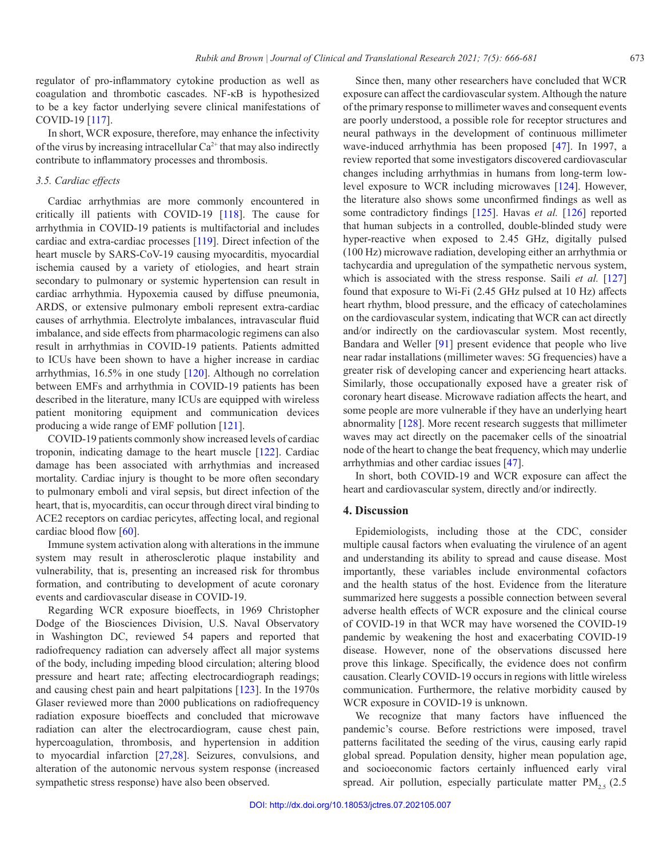regulator of pro-inflammatory cytokine production as well as coagulation and thrombotic cascades. NF-κB is hypothesized to be a key factor underlying severe clinical manifestations of COVID-19 [[117](#page-14-10)].

In short, WCR exposure, therefore, may enhance the infectivity of the virus by increasing intracellular Ca<sup>2+</sup> that may also indirectly contribute to inflammatory processes and thrombosis.

## *3.5. Cardiac effects*

Cardiac arrhythmias are more commonly encountered in critically ill patients with COVID-19 [\[118\]](#page-14-11). The cause for arrhythmia in COVID-19 patients is multifactorial and includes cardiac and extra-cardiac processes [[119\].](#page-14-12) Direct infection of the heart muscle by SARS-CoV-19 causing myocarditis, myocardial ischemia caused by a variety of etiologies, and heart strain secondary to pulmonary or systemic hypertension can result in cardiac arrhythmia. Hypoxemia caused by diffuse pneumonia, ARDS, or extensive pulmonary emboli represent extra-cardiac causes of arrhythmia. Electrolyte imbalances, intravascular fluid imbalance, and side effects from pharmacologic regimens can also result in arrhythmias in COVID-19 patients. Patients admitted to ICUs have been shown to have a higher increase in cardiac arrhythmias, 16.5% in one study [[120\].](#page-14-13) Although no correlation between EMFs and arrhythmia in COVID-19 patients has been described in the literature, many ICUs are equipped with wireless patient monitoring equipment and communication devices producing a wide range of EMF pollution [\[121\].](#page-14-14)

COVID-19 patients commonly show increased levels of cardiac troponin, indicating damage to the heart muscle [\[122\].](#page-14-15) Cardiac damage has been associated with arrhythmias and increased mortality. Cardiac injury is thought to be more often secondary to pulmonary emboli and viral sepsis, but direct infection of the heart, that is, myocarditis, can occur through direct viral binding to ACE2 receptors on cardiac pericytes, affecting local, and regional cardiac blood flow [\[60](#page-12-10)].

Immune system activation along with alterations in the immune system may result in atherosclerotic plaque instability and vulnerability, that is, presenting an increased risk for thrombus formation, and contributing to development of acute coronary events and cardiovascular disease in COVID-19.

Regarding WCR exposure bioeffects, in 1969 Christopher Dodge of the Biosciences Division, U.S. Naval Observatory in Washington DC, reviewed 54 papers and reported that radiofrequency radiation can adversely affect all major systems of the body, including impeding blood circulation; altering blood pressure and heart rate; affecting electrocardiograph readings; and causing chest pain and heart palpitations [[123\]](#page-14-16). In the 1970s Glaser reviewed more than 2000 publications on radiofrequency radiation exposure bioeffects and concluded that microwave radiation can alter the electrocardiogram, cause chest pain, hypercoagulation, thrombosis, and hypertension in addition to myocardial infarction [[27](#page-11-4)[,28\].](#page-11-5) Seizures, convulsions, and alteration of the autonomic nervous system response (increased sympathetic stress response) have also been observed.

Since then, many other researchers have concluded that WCR exposure can affect the cardiovascular system. Although the nature of the primary response to millimeter waves and consequent events are poorly understood, a possible role for receptor structures and neural pathways in the development of continuous millimeter wave-induced arrhythmia has been proposed [[47](#page-11-18)]. In 1997, a review reported that some investigators discovered cardiovascular changes including arrhythmias in humans from long-term lowlevel exposure to WCR including microwaves [[124\].](#page-14-17) However, the literature also shows some unconfirmed findings as well as some contradictory findings [[125\].](#page-14-18) Havas *et al.* [[126](#page-14-19)] reported that human subjects in a controlled, double-blinded study were hyper-reactive when exposed to 2.45 GHz, digitally pulsed (100 Hz) microwave radiation, developing either an arrhythmia or tachycardia and upregulation of the sympathetic nervous system, which is associated with the stress response. Saili *et al.* [[127](#page-14-20)] found that exposure to Wi-Fi (2.45 GHz pulsed at 10 Hz) affects heart rhythm, blood pressure, and the efficacy of catecholamines on the cardiovascular system, indicating that WCR can act directly and/or indirectly on the cardiovascular system. Most recently, Bandara and Weller [\[91\]](#page-13-12) present evidence that people who live near radar installations (millimeter waves: 5G frequencies) have a greater risk of developing cancer and experiencing heart attacks. Similarly, those occupationally exposed have a greater risk of coronary heart disease. Microwave radiation affects the heart, and some people are more vulnerable if they have an underlying heart abnormality [\[128\].](#page-14-21) More recent research suggests that millimeter waves may act directly on the pacemaker cells of the sinoatrial node of the heart to change the beat frequency, which may underlie arrhythmias and other cardiac issues [[47](#page-11-18)].

In short, both COVID-19 and WCR exposure can affect the heart and cardiovascular system, directly and/or indirectly.

## **4. Discussion**

Epidemiologists, including those at the CDC, consider multiple causal factors when evaluating the virulence of an agent and understanding its ability to spread and cause disease. Most importantly, these variables include environmental cofactors and the health status of the host. Evidence from the literature summarized here suggests a possible connection between several adverse health effects of WCR exposure and the clinical course of COVID-19 in that WCR may have worsened the COVID-19 pandemic by weakening the host and exacerbating COVID-19 disease. However, none of the observations discussed here prove this linkage. Specifically, the evidence does not confirm causation. Clearly COVID-19 occurs in regions with little wireless communication. Furthermore, the relative morbidity caused by WCR exposure in COVID-19 is unknown.

We recognize that many factors have influenced the pandemic's course. Before restrictions were imposed, travel patterns facilitated the seeding of the virus, causing early rapid global spread. Population density, higher mean population age, and socioeconomic factors certainly influenced early viral spread. Air pollution, especially particulate matter  $PM_{25}$  (2.5)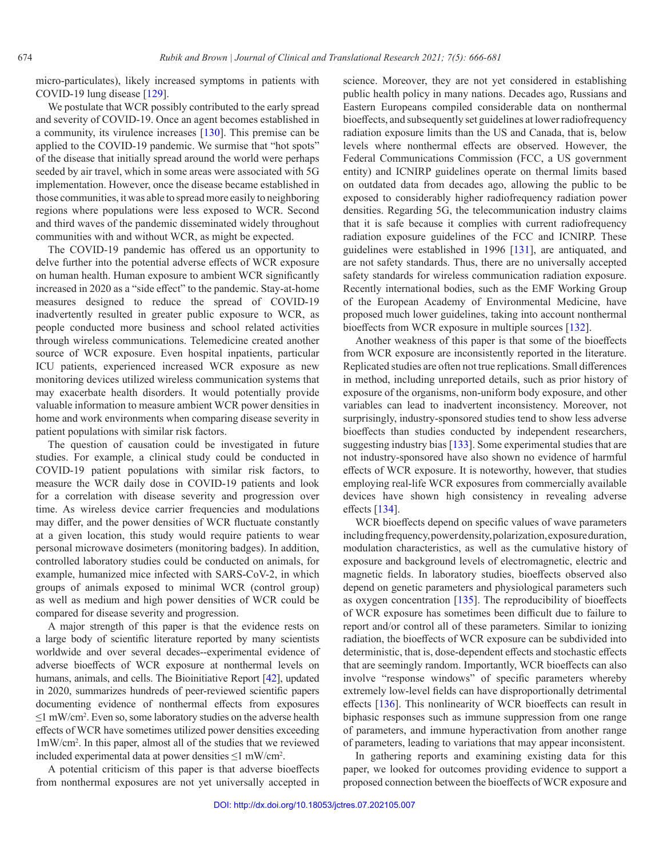micro-particulates), likely increased symptoms in patients with COVID-19 lung disease [\[129\].](#page-14-22)

We postulate that WCR possibly contributed to the early spread and severity of COVID-19. Once an agent becomes established in a community, its virulence increases [\[130\].](#page-14-23) This premise can be applied to the COVID-19 pandemic. We surmise that "hot spots" of the disease that initially spread around the world were perhaps seeded by air travel, which in some areas were associated with 5G implementation. However, once the disease became established in those communities, it was able to spread more easily to neighboring regions where populations were less exposed to WCR. Second and third waves of the pandemic disseminated widely throughout communities with and without WCR, as might be expected.

The COVID-19 pandemic has offered us an opportunity to delve further into the potential adverse effects of WCR exposure on human health. Human exposure to ambient WCR significantly increased in 2020 as a "side effect" to the pandemic. Stay-at-home measures designed to reduce the spread of COVID-19 inadvertently resulted in greater public exposure to WCR, as people conducted more business and school related activities through wireless communications. Telemedicine created another source of WCR exposure. Even hospital inpatients, particular ICU patients, experienced increased WCR exposure as new monitoring devices utilized wireless communication systems that may exacerbate health disorders. It would potentially provide valuable information to measure ambient WCR power densities in home and work environments when comparing disease severity in patient populations with similar risk factors.

The question of causation could be investigated in future studies. For example, a clinical study could be conducted in COVID-19 patient populations with similar risk factors, to measure the WCR daily dose in COVID-19 patients and look for a correlation with disease severity and progression over time. As wireless device carrier frequencies and modulations may differ, and the power densities of WCR fluctuate constantly at a given location, this study would require patients to wear personal microwave dosimeters (monitoring badges). In addition, controlled laboratory studies could be conducted on animals, for example, humanized mice infected with SARS-CoV-2, in which groups of animals exposed to minimal WCR (control group) as well as medium and high power densities of WCR could be compared for disease severity and progression.

A major strength of this paper is that the evidence rests on a large body of scientific literature reported by many scientists worldwide and over several decades--experimental evidence of adverse bioeffects of WCR exposure at nonthermal levels on humans, animals, and cells. The Bioinitiative Report [[42\],](#page-11-15) updated in 2020, summarizes hundreds of peer-reviewed scientific papers documenting evidence of nonthermal effects from exposures ≤1 mW/cm<sup>2</sup> . Even so, some laboratory studies on the adverse health effects of WCR have sometimes utilized power densities exceeding 1mW/cm2 . In this paper, almost all of the studies that we reviewed included experimental data at power densities  $\leq l$  mW/cm<sup>2</sup>.

A potential criticism of this paper is that adverse bioeffects from nonthermal exposures are not yet universally accepted in

science. Moreover, they are not yet considered in establishing public health policy in many nations. Decades ago, Russians and Eastern Europeans compiled considerable data on nonthermal bioeffects, and subsequently set guidelines at lower radiofrequency radiation exposure limits than the US and Canada, that is, below levels where nonthermal effects are observed. However, the Federal Communications Commission (FCC, a US government entity) and ICNIRP guidelines operate on thermal limits based on outdated data from decades ago, allowing the public to be exposed to considerably higher radiofrequency radiation power densities. Regarding 5G, the telecommunication industry claims that it is safe because it complies with current radiofrequency radiation exposure guidelines of the FCC and ICNIRP. These guidelines were established in 1996 [[131\],](#page-14-24) are antiquated, and are not safety standards. Thus, there are no universally accepted safety standards for wireless communication radiation exposure. Recently international bodies, such as the EMF Working Group of the European Academy of Environmental Medicine, have proposed much lower guidelines, taking into account nonthermal bioeffects from WCR exposure in multiple sources [[132\]](#page-14-25).

Another weakness of this paper is that some of the bioeffects from WCR exposure are inconsistently reported in the literature. Replicated studies are often not true replications. Small differences in method, including unreported details, such as prior history of exposure of the organisms, non-uniform body exposure, and other variables can lead to inadvertent inconsistency. Moreover, not surprisingly, industry-sponsored studies tend to show less adverse bioeffects than studies conducted by independent researchers, suggesting industry bias [\[133\]](#page-14-26). Some experimental studies that are not industry-sponsored have also shown no evidence of harmful effects of WCR exposure. It is noteworthy, however, that studies employing real-life WCR exposures from commercially available devices have shown high consistency in revealing adverse effects [[134\]](#page-15-0).

WCR bioeffects depend on specific values of wave parameters including frequency, power density, polarization, exposure duration, modulation characteristics, as well as the cumulative history of exposure and background levels of electromagnetic, electric and magnetic fields. In laboratory studies, bioeffects observed also depend on genetic parameters and physiological parameters such as oxygen concentration [[135\]](#page-15-1). The reproducibility of bioeffects of WCR exposure has sometimes been difficult due to failure to report and/or control all of these parameters. Similar to ionizing radiation, the bioeffects of WCR exposure can be subdivided into deterministic, that is, dose-dependent effects and stochastic effects that are seemingly random. Importantly, WCR bioeffects can also involve "response windows" of specific parameters whereby extremely low-level fields can have disproportionally detrimental effects [[136](#page-15-2)]. This nonlinearity of WCR bioeffects can result in biphasic responses such as immune suppression from one range of parameters, and immune hyperactivation from another range of parameters, leading to variations that may appear inconsistent.

In gathering reports and examining existing data for this paper, we looked for outcomes providing evidence to support a proposed connection between the bioeffects of WCR exposure and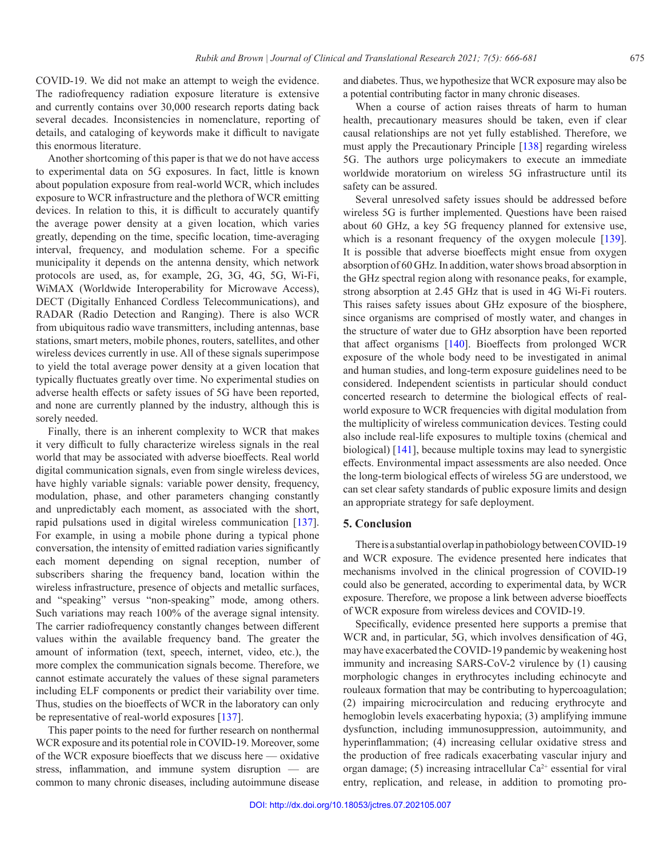COVID-19. We did not make an attempt to weigh the evidence. The radiofrequency radiation exposure literature is extensive and currently contains over 30,000 research reports dating back several decades. Inconsistencies in nomenclature, reporting of details, and cataloging of keywords make it difficult to navigate this enormous literature.

Another shortcoming of this paper is that we do not have access to experimental data on 5G exposures. In fact, little is known about population exposure from real-world WCR, which includes exposure to WCR infrastructure and the plethora of WCR emitting devices. In relation to this, it is difficult to accurately quantify the average power density at a given location, which varies greatly, depending on the time, specific location, time-averaging interval, frequency, and modulation scheme. For a specific municipality it depends on the antenna density, which network protocols are used, as, for example, 2G, 3G, 4G, 5G, Wi-Fi, WiMAX (Worldwide Interoperability for Microwave Access), DECT (Digitally Enhanced Cordless Telecommunications), and RADAR (Radio Detection and Ranging). There is also WCR from ubiquitous radio wave transmitters, including antennas, base stations, smart meters, mobile phones, routers, satellites, and other wireless devices currently in use. All of these signals superimpose to yield the total average power density at a given location that typically fluctuates greatly over time. No experimental studies on adverse health effects or safety issues of 5G have been reported, and none are currently planned by the industry, although this is sorely needed.

Finally, there is an inherent complexity to WCR that makes it very difficult to fully characterize wireless signals in the real world that may be associated with adverse bioeffects. Real world digital communication signals, even from single wireless devices, have highly variable signals: variable power density, frequency, modulation, phase, and other parameters changing constantly and unpredictably each moment, as associated with the short, rapid pulsations used in digital wireless communication [[137](#page-15-3)]. For example, in using a mobile phone during a typical phone conversation, the intensity of emitted radiation varies significantly each moment depending on signal reception, number of subscribers sharing the frequency band, location within the wireless infrastructure, presence of objects and metallic surfaces, and "speaking" versus "non-speaking" mode, among others. Such variations may reach 100% of the average signal intensity. The carrier radiofrequency constantly changes between different values within the available frequency band. The greater the amount of information (text, speech, internet, video, etc.), the more complex the communication signals become. Therefore, we cannot estimate accurately the values of these signal parameters including ELF components or predict their variability over time. Thus, studies on the bioeffects of WCR in the laboratory can only be representative of real-world exposures [[137](#page-15-3)].

This paper points to the need for further research on nonthermal WCR exposure and its potential role in COVID-19. Moreover, some of the WCR exposure bioeffects that we discuss here — oxidative stress, inflammation, and immune system disruption — are common to many chronic diseases, including autoimmune disease

and diabetes. Thus, we hypothesize that WCR exposure may also be a potential contributing factor in many chronic diseases.

When a course of action raises threats of harm to human health, precautionary measures should be taken, even if clear causal relationships are not yet fully established. Therefore, we must apply the Precautionary Principle [[138\]](#page-15-4) regarding wireless 5G. The authors urge policymakers to execute an immediate worldwide moratorium on wireless 5G infrastructure until its safety can be assured.

Several unresolved safety issues should be addressed before wireless 5G is further implemented. Questions have been raised about 60 GHz, a key 5G frequency planned for extensive use, which is a resonant frequency of the oxygen molecule [\[139\]](#page-15-5). It is possible that adverse bioeffects might ensue from oxygen absorption of 60 GHz. In addition, water shows broad absorption in the GHz spectral region along with resonance peaks, for example, strong absorption at 2.45 GHz that is used in 4G Wi-Fi routers. This raises safety issues about GHz exposure of the biosphere, since organisms are comprised of mostly water, and changes in the structure of water due to GHz absorption have been reported that affect organisms [[140\]](#page-15-6). Bioeffects from prolonged WCR exposure of the whole body need to be investigated in animal and human studies, and long-term exposure guidelines need to be considered. Independent scientists in particular should conduct concerted research to determine the biological effects of realworld exposure to WCR frequencies with digital modulation from the multiplicity of wireless communication devices. Testing could also include real-life exposures to multiple toxins (chemical and biological) [\[141\],](#page-15-7) because multiple toxins may lead to synergistic effects. Environmental impact assessments are also needed. Once the long-term biological effects of wireless 5G are understood, we can set clear safety standards of public exposure limits and design an appropriate strategy for safe deployment.

## **5. Conclusion**

There is a substantial overlap in pathobiology between COVID-19 and WCR exposure. The evidence presented here indicates that mechanisms involved in the clinical progression of COVID-19 could also be generated, according to experimental data, by WCR exposure. Therefore, we propose a link between adverse bioeffects of WCR exposure from wireless devices and COVID-19.

Specifically, evidence presented here supports a premise that WCR and, in particular, 5G, which involves densification of 4G, may have exacerbated the COVID-19 pandemic by weakening host immunity and increasing SARS-CoV-2 virulence by (1) causing morphologic changes in erythrocytes including echinocyte and rouleaux formation that may be contributing to hypercoagulation; (2) impairing microcirculation and reducing erythrocyte and hemoglobin levels exacerbating hypoxia; (3) amplifying immune dysfunction, including immunosuppression, autoimmunity, and hyperinflammation; (4) increasing cellular oxidative stress and the production of free radicals exacerbating vascular injury and organ damage; (5) increasing intracellular  $Ca^{2+}$  essential for viral entry, replication, and release, in addition to promoting pro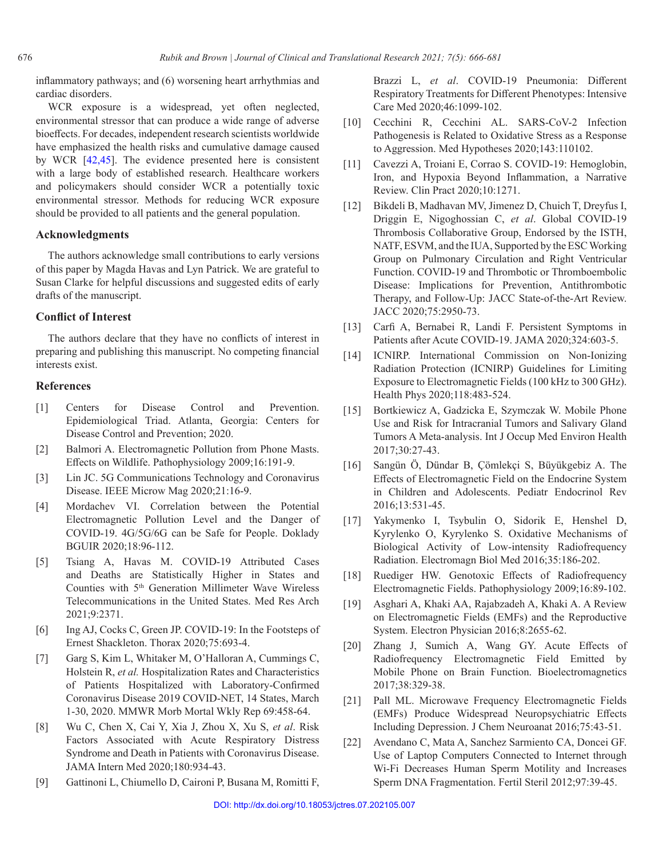inflammatory pathways; and (6) worsening heart arrhythmias and cardiac disorders.

WCR exposure is a widespread, yet often neglected, environmental stressor that can produce a wide range of adverse bioeffects. For decades, independent research scientists worldwide have emphasized the health risks and cumulative damage caused by WCR [\[42](#page-11-15),[45\].](#page-11-21) The evidence presented here is consistent with a large body of established research. Healthcare workers and policymakers should consider WCR a potentially toxic environmental stressor. Methods for reducing WCR exposure should be provided to all patients and the general population.

# **Acknowledgments**

The authors acknowledge small contributions to early versions of this paper by Magda Havas and Lyn Patrick. We are grateful to Susan Clarke for helpful discussions and suggested edits of early drafts of the manuscript.

## **Conflict of Interest**

The authors declare that they have no conflicts of interest in preparing and publishing this manuscript. No competing financial interests exist.

## **References**

- <span id="page-10-0"></span>[1] Centers for Disease Control and Prevention. Epidemiological Triad. Atlanta, Georgia: Centers for Disease Control and Prevention; 2020.
- <span id="page-10-1"></span>[2] Balmori A. Electromagnetic Pollution from Phone Masts. Effects on Wildlife. Pathophysiology 2009;16:191-9.
- <span id="page-10-2"></span>[3] Lin JC. 5G Communications Technology and Coronavirus Disease. IEEE Microw Mag 2020;21:16-9.
- <span id="page-10-3"></span>[4] Mordachev VI. Correlation between the Potential Electromagnetic Pollution Level and the Danger of COVID-19. 4G/5G/6G can be Safe for People. Doklady BGUIR 2020;18:96-112.
- <span id="page-10-4"></span>[5] Tsiang A, Havas M. COVID-19 Attributed Cases and Deaths are Statistically Higher in States and Counties with 5th Generation Millimeter Wave Wireless Telecommunications in the United States. Med Res Arch 2021;9:2371.
- <span id="page-10-5"></span>[6] Ing AJ, Cocks C, Green JP. COVID-19: In the Footsteps of Ernest Shackleton. Thorax 2020;75:693-4.
- <span id="page-10-6"></span>[7] Garg S, Kim L, Whitaker M, O'Halloran A, Cummings C, Holstein R, *et al.* Hospitalization Rates and Characteristics of Patients Hospitalized with Laboratory-Confirmed Coronavirus Disease 2019 COVID-NET, 14 States, March 1-30, 2020. MMWR Morb Mortal Wkly Rep 69:458-64.
- <span id="page-10-7"></span>[8] Wu C, Chen X, Cai Y, Xia J, Zhou X, Xu S, *et al*. Risk Factors Associated with Acute Respiratory Distress Syndrome and Death in Patients with Coronavirus Disease. JAMA Intern Med 2020;180:934-43.
- <span id="page-10-8"></span>[9] Gattinoni L, Chiumello D, Caironi P, Busana M, Romitti F,

Brazzi L, *et al*. COVID-19 Pneumonia: Different Respiratory Treatments for Different Phenotypes: Intensive Care Med 2020;46:1099-102.

- <span id="page-10-9"></span>[10] Cecchini R, Cecchini AL. SARS-CoV-2 Infection Pathogenesis is Related to Oxidative Stress as a Response to Aggression. Med Hypotheses 2020;143:110102.
- <span id="page-10-10"></span>[11] Cavezzi A, Troiani E, Corrao S. COVID-19: Hemoglobin, Iron, and Hypoxia Beyond Inflammation, a Narrative Review. Clin Pract 2020;10:1271.
- <span id="page-10-11"></span>[12] Bikdeli B, Madhavan MV, Jimenez D, Chuich T, Dreyfus I, Driggin E, Nigoghossian C, *et al*. Global COVID-19 Thrombosis Collaborative Group, Endorsed by the ISTH, NATF, ESVM, and the IUA, Supported by the ESC Working Group on Pulmonary Circulation and Right Ventricular Function. COVID-19 and Thrombotic or Thromboembolic Disease: Implications for Prevention, Antithrombotic Therapy, and Follow-Up: JACC State-of-the-Art Review. JACC 2020;75:2950-73.
- <span id="page-10-12"></span>[13] Carfi A, Bernabei R, Landi F. Persistent Symptoms in Patients after Acute COVID-19. JAMA 2020;324:603-5.
- <span id="page-10-13"></span>[14] ICNIRP. International Commission on Non-Ionizing Radiation Protection (ICNIRP) Guidelines for Limiting Exposure to Electromagnetic Fields (100 kHz to 300 GHz). Health Phys 2020;118:483-524.
- <span id="page-10-14"></span>[15] Bortkiewicz A, Gadzicka E, Szymczak W. Mobile Phone Use and Risk for Intracranial Tumors and Salivary Gland Tumors A Meta-analysis. Int J Occup Med Environ Health 2017;30:27-43.
- <span id="page-10-15"></span>[16] Sangün Ö, Dündar B, Çömlekçi S, Büyükgebiz A. The Effects of Electromagnetic Field on the Endocrine System in Children and Adolescents. Pediatr Endocrinol Rev 2016;13:531-45.
- <span id="page-10-16"></span>[17] Yakymenko I, Tsybulin O, Sidorik E, Henshel D, Kyrylenko O, Kyrylenko S. Oxidative Mechanisms of Biological Activity of Low-intensity Radiofrequency Radiation. Electromagn Biol Med 2016;35:186-202.
- <span id="page-10-17"></span>[18] Ruediger HW. Genotoxic Effects of Radiofrequency Electromagnetic Fields. Pathophysiology 2009;16:89-102.
- <span id="page-10-18"></span>[19] Asghari A, Khaki AA, Rajabzadeh A, Khaki A. A Review on Electromagnetic Fields (EMFs) and the Reproductive System. Electron Physician 2016;8:2655-62.
- <span id="page-10-19"></span>[20] Zhang J, Sumich A, Wang GY. Acute Effects of Radiofrequency Electromagnetic Field Emitted by Mobile Phone on Brain Function. Bioelectromagnetics 2017;38:329-38.
- <span id="page-10-20"></span>[21] Pall ML. Microwave Frequency Electromagnetic Fields (EMFs) Produce Widespread Neuropsychiatric Effects Including Depression. J Chem Neuroanat 2016;75:43-51.
- <span id="page-10-21"></span>[22] Avendano C, Mata A, Sanchez Sarmiento CA, Doncei GF. Use of Laptop Computers Connected to Internet through Wi-Fi Decreases Human Sperm Motility and Increases Sperm DNA Fragmentation. Fertil Steril 2012;97:39-45.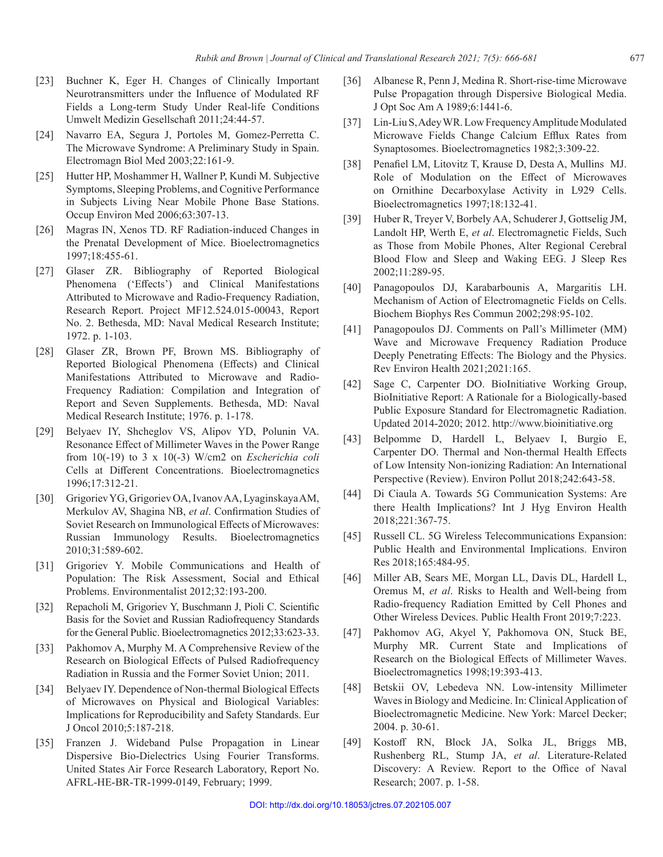- <span id="page-11-0"></span>[23] Buchner K, Eger H. Changes of Clinically Important Neurotransmitters under the Influence of Modulated RF Fields a Long-term Study Under Real-life Conditions Umwelt Medizin Gesellschaft 2011;24:44-57.
- <span id="page-11-1"></span>[24] Navarro EA, Segura J, Portoles M, Gomez-Perretta C. The Microwave Syndrome: A Preliminary Study in Spain. Electromagn Biol Med 2003;22:161-9.
- <span id="page-11-2"></span>[25] Hutter HP, Moshammer H, Wallner P, Kundi M. Subjective Symptoms, Sleeping Problems, and Cognitive Performance in Subjects Living Near Mobile Phone Base Stations. Occup Environ Med 2006;63:307-13.
- <span id="page-11-3"></span>[26] Magras IN, Xenos TD. RF Radiation-induced Changes in the Prenatal Development of Mice. Bioelectromagnetics 1997;18:455-61.
- <span id="page-11-4"></span>[27] Glaser ZR. Bibliography of Reported Biological Phenomena ('Effects') and Clinical Manifestations Attributed to Microwave and Radio-Frequency Radiation, Research Report. Project MF12.524.015-00043, Report No. 2. Bethesda, MD: Naval Medical Research Institute; 1972. p. 1-103.
- <span id="page-11-5"></span>[28] Glaser ZR, Brown PF, Brown MS. Bibliography of Reported Biological Phenomena (Effects) and Clinical Manifestations Attributed to Microwave and Radio-Frequency Radiation: Compilation and Integration of Report and Seven Supplements. Bethesda, MD: Naval Medical Research Institute; 1976. p. 1-178.
- <span id="page-11-6"></span>[29] Belyaev IY, Shcheglov VS, Alipov YD, Polunin VA. Resonance Effect of Millimeter Waves in the Power Range from 10(-19) to 3 x 10(-3) W/cm2 on *Escherichia coli* Cells at Different Concentrations. Bioelectromagnetics 1996;17:312-21.
- <span id="page-11-7"></span>[30] Grigoriev YG, Grigoriev OA, Ivanov AA, Lyaginskaya AM, Merkulov AV, Shagina NB, *et al*. Confirmation Studies of Soviet Research on Immunological Effects of Microwaves: Russian Immunology Results. Bioelectromagnetics 2010;31:589-602.
- <span id="page-11-8"></span>[31] Grigoriev Y. Mobile Communications and Health of Population: The Risk Assessment, Social and Ethical Problems. Environmentalist 2012;32:193-200.
- <span id="page-11-9"></span>[32] Repacholi M, Grigoriev Y, Buschmann J, Pioli C. Scientific Basis for the Soviet and Russian Radiofrequency Standards for the General Public. Bioelectromagnetics 2012;33:623-33.
- <span id="page-11-10"></span>[33] Pakhomov A, Murphy M. A Comprehensive Review of the Research on Biological Effects of Pulsed Radiofrequency Radiation in Russia and the Former Soviet Union; 2011.
- [34] Belyaev IY. Dependence of Non-thermal Biological Effects of Microwaves on Physical and Biological Variables: Implications for Reproducibility and Safety Standards. Eur J Oncol 2010;5:187-218.
- [35] Franzen J. Wideband Pulse Propagation in Linear Dispersive Bio-Dielectrics Using Fourier Transforms. United States Air Force Research Laboratory, Report No. AFRL-HE-BR-TR-1999-0149, February; 1999.
- <span id="page-11-11"></span>[36] Albanese R, Penn J, Medina R. Short-rise-time Microwave Pulse Propagation through Dispersive Biological Media. J Opt Soc Am A 1989;6:1441-6.
- <span id="page-11-12"></span>[37] Lin-Liu S, Adey WR. Low Frequency Amplitude Modulated Microwave Fields Change Calcium Efflux Rates from Synaptosomes. Bioelectromagnetics 1982;3:309-22.
- [38] Penafiel LM, Litovitz T, Krause D, Desta A, Mullins MJ. Role of Modulation on the Effect of Microwaves on Ornithine Decarboxylase Activity in L929 Cells. Bioelectromagnetics 1997;18:132-41.
- [39] Huber R, Treyer V, Borbely AA, Schuderer J, Gottselig JM, Landolt HP, Werth E, *et al*. Electromagnetic Fields, Such as Those from Mobile Phones, Alter Regional Cerebral Blood Flow and Sleep and Waking EEG. J Sleep Res 2002;11:289-95.
- <span id="page-11-13"></span>[40] Panagopoulos DJ, Karabarbounis A, Margaritis LH. Mechanism of Action of Electromagnetic Fields on Cells. Biochem Biophys Res Commun 2002;298:95-102.
- <span id="page-11-14"></span>[41] Panagopoulos DJ. Comments on Pall's Millimeter (MM) Wave and Microwave Frequency Radiation Produce Deeply Penetrating Effects: The Biology and the Physics. Rev Environ Health 2021;2021:165.
- <span id="page-11-15"></span>[42] Sage C, Carpenter DO. BioInitiative Working Group, BioInitiative Report: A Rationale for a Biologically-based Public Exposure Standard for Electromagnetic Radiation. Updated 2014-2020; 2012. http://www.bioinitiative.org
- <span id="page-11-16"></span>[43] Belpomme D, Hardell L, Belyaev I, Burgio E, Carpenter DO. Thermal and Non-thermal Health Effects of Low Intensity Non-ionizing Radiation: An International Perspective (Review). Environ Pollut 2018;242:643-58.
- [44] Di Ciaula A. Towards 5G Communication Systems: Are there Health Implications? Int J Hyg Environ Health 2018;221:367-75.
- <span id="page-11-21"></span>[45] Russell CL. 5G Wireless Telecommunications Expansion: Public Health and Environmental Implications. Environ Res 2018;165:484-95.
- <span id="page-11-17"></span>[46] Miller AB, Sears ME, Morgan LL, Davis DL, Hardell L, Oremus M, *et al*. Risks to Health and Well-being from Radio-frequency Radiation Emitted by Cell Phones and Other Wireless Devices. Public Health Front 2019;7:223.
- <span id="page-11-18"></span>[47] Pakhomov AG, Akyel Y, Pakhomova ON, Stuck BE, Murphy MR. Current State and Implications of Research on the Biological Effects of Millimeter Waves. Bioelectromagnetics 1998;19:393-413.
- <span id="page-11-19"></span>[48] Betskii OV, Lebedeva NN. Low-intensity Millimeter Waves in Biology and Medicine. In: Clinical Application of Bioelectromagnetic Medicine. New York: Marcel Decker; 2004. p. 30-61.
- <span id="page-11-20"></span>[49] Kostoff RN, Block JA, Solka JL, Briggs MB, Rushenberg RL, Stump JA, *et al*. Literature-Related Discovery: A Review. Report to the Office of Naval Research; 2007. p. 1-58.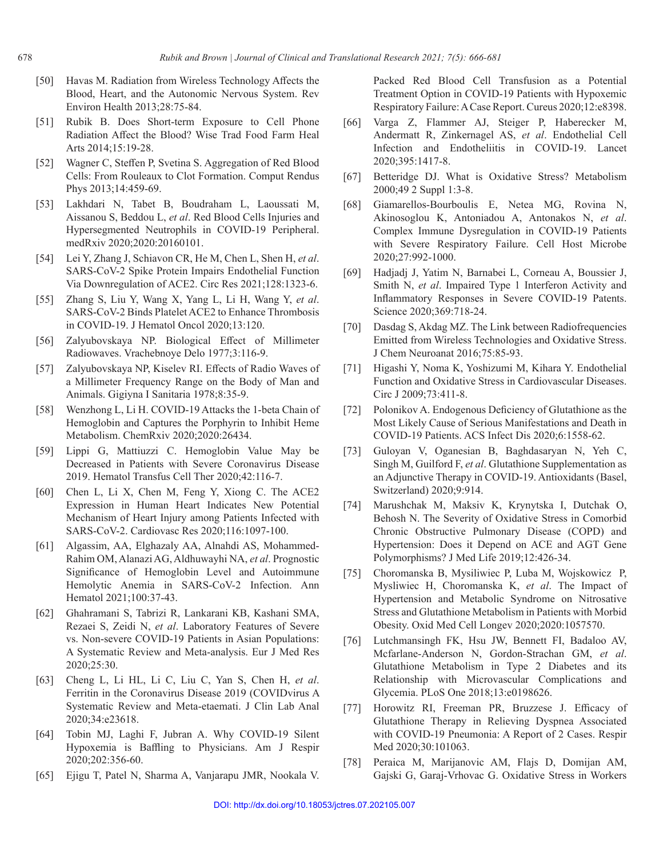- <span id="page-12-0"></span>[50] Havas M. Radiation from Wireless Technology Affects the Blood, Heart, and the Autonomic Nervous System. Rev Environ Health 2013;28:75-84.
- <span id="page-12-1"></span>[51] Rubik B. Does Short-term Exposure to Cell Phone Radiation Affect the Blood? Wise Trad Food Farm Heal Arts 2014;15:19-28.
- <span id="page-12-2"></span>[52] Wagner C, Steffen P, Svetina S. Aggregation of Red Blood Cells: From Rouleaux to Clot Formation. Comput Rendus Phys 2013;14:459-69.
- <span id="page-12-3"></span>[53] Lakhdari N, Tabet B, Boudraham L, Laoussati M, Aissanou S, Beddou L, *et al*. Red Blood Cells Injuries and Hypersegmented Neutrophils in COVID-19 Peripheral. medRxiv 2020;2020:20160101.
- <span id="page-12-4"></span>[54] Lei Y, Zhang J, Schiavon CR, He M, Chen L, Shen H, *et al*. SARS-CoV-2 Spike Protein Impairs Endothelial Function Via Downregulation of ACE2. Circ Res 2021;128:1323-6.
- <span id="page-12-5"></span>[55] Zhang S, Liu Y, Wang X, Yang L, Li H, Wang Y, *et al*. SARS-CoV-2 Binds Platelet ACE2 to Enhance Thrombosis in COVID-19. J Hematol Oncol 2020;13:120.
- <span id="page-12-6"></span>[56] Zalyubovskaya NP. Biological Effect of Millimeter Radiowaves. Vrachebnoye Delo 1977;3:116-9.
- <span id="page-12-7"></span>[57] Zalyubovskaya NP, Kiselev RI. Effects of Radio Waves of a Millimeter Frequency Range on the Body of Man and Animals. Gigiyna I Sanitaria 1978;8:35-9.
- <span id="page-12-8"></span>[58] Wenzhong L, Li H. COVID-19 Attacks the 1-beta Chain of Hemoglobin and Captures the Porphyrin to Inhibit Heme Metabolism. ChemRxiv 2020;2020:26434.
- <span id="page-12-9"></span>[59] Lippi G, Mattiuzzi C. Hemoglobin Value May be Decreased in Patients with Severe Coronavirus Disease 2019. Hematol Transfus Cell Ther 2020;42:116-7.
- <span id="page-12-10"></span>[60] Chen L, Li X, Chen M, Feng Y, Xiong C. The ACE2 Expression in Human Heart Indicates New Potential Mechanism of Heart Injury among Patients Infected with SARS-CoV-2. Cardiovasc Res 2020;116:1097-100.
- <span id="page-12-11"></span>[61] Algassim, AA, Elghazaly AA, Alnahdi AS, Mohammed-Rahim OM, Alanazi AG, Aldhuwayhi NA, *et al*. Prognostic Significance of Hemoglobin Level and Autoimmune Hemolytic Anemia in SARS-CoV-2 Infection. Ann Hematol 2021;100:37-43.
- <span id="page-12-12"></span>[62] Ghahramani S, Tabrizi R, Lankarani KB, Kashani SMA, Rezaei S, Zeidi N, *et al*. Laboratory Features of Severe vs. Non-severe COVID-19 Patients in Asian Populations: A Systematic Review and Meta-analysis. Eur J Med Res 2020;25:30.
- <span id="page-12-13"></span>[63] Cheng L, Li HL, Li C, Liu C, Yan S, Chen H, *et al*. Ferritin in the Coronavirus Disease 2019 (COVIDvirus A Systematic Review and Meta‐etaemati. J Clin Lab Anal 2020;34:e23618.
- <span id="page-12-14"></span>[64] Tobin MJ, Laghi F, Jubran A. Why COVID-19 Silent Hypoxemia is Baffling to Physicians. Am J Respir 2020;202:356-60.
- <span id="page-12-15"></span>[65] Ejigu T, Patel N, Sharma A, Vanjarapu JMR, Nookala V.

Packed Red Blood Cell Transfusion as a Potential Treatment Option in COVID-19 Patients with Hypoxemic Respiratory Failure: ACase Report. Cureus 2020;12:e8398.

- <span id="page-12-16"></span>[66] Varga Z, Flammer AJ, Steiger P, Haberecker M, Andermatt R, Zinkernagel AS, *et al*. Endothelial Cell Infection and Endotheliitis in COVID-19. Lancet 2020;395:1417-8.
- <span id="page-12-17"></span>[67] Betteridge DJ. What is Oxidative Stress? Metabolism 2000;49 2 Suppl 1:3-8.
- <span id="page-12-18"></span>[68] Giamarellos-Bourboulis E, Netea MG, Rovina N, Akinosoglou K, Antoniadou A, Antonakos N, *et al*. Complex Immune Dysregulation in COVID-19 Patients with Severe Respiratory Failure. Cell Host Microbe 2020;27:992-1000.
- <span id="page-12-19"></span>[69] Hadjadj J, Yatim N, Barnabei L, Corneau A, Boussier J, Smith N, *et al*. Impaired Type 1 Interferon Activity and Inflammatory Responses in Severe COVID-19 Patents. Science 2020;369:718-24.
- <span id="page-12-20"></span>[70] Dasdag S, Akdag MZ. The Link between Radiofrequencies Emitted from Wireless Technologies and Oxidative Stress. J Chem Neuroanat 2016;75:85-93.
- <span id="page-12-21"></span>[71] Higashi Y, Noma K, Yoshizumi M, Kihara Y. Endothelial Function and Oxidative Stress in Cardiovascular Diseases. Circ J 2009;73:411-8.
- <span id="page-12-22"></span>[72] Polonikov A. Endogenous Deficiency of Glutathione as the Most Likely Cause of Serious Manifestations and Death in COVID-19 Patients. ACS Infect Dis 2020;6:1558-62.
- <span id="page-12-23"></span>[73] Guloyan V, Oganesian B, Baghdasaryan N, Yeh C, Singh M, Guilford F, *et al*. Glutathione Supplementation as an Adjunctive Therapy in COVID-19. Antioxidants (Basel, Switzerland) 2020;9:914.
- <span id="page-12-24"></span>[74] Marushchak M, Maksiv K, Krynytska I, Dutchak O, Behosh N. The Severity of Oxidative Stress in Comorbid Chronic Obstructive Pulmonary Disease (COPD) and Hypertension: Does it Depend on ACE and AGT Gene Polymorphisms? J Med Life 2019;12:426-34.
- <span id="page-12-25"></span>[75] Choromanska B, Mysiliwiec P, Luba M, Wojskowicz P, Mysliwiec H, Choromanska K, *et al*. The Impact of Hypertension and Metabolic Syndrome on Nitrosative Stress and Glutathione Metabolism in Patients with Morbid Obesity. Oxid Med Cell Longev 2020;2020:1057570.
- <span id="page-12-26"></span>[76] Lutchmansingh FK, Hsu JW, Bennett FI, Badaloo AV, Mcfarlane-Anderson N, Gordon-Strachan GM, *et al*. Glutathione Metabolism in Type 2 Diabetes and its Relationship with Microvascular Complications and Glycemia. PLoS One 2018;13:e0198626.
- <span id="page-12-27"></span>[77] Horowitz RI, Freeman PR, Bruzzese J. Efficacy of Glutathione Therapy in Relieving Dyspnea Associated with COVID-19 Pneumonia: A Report of 2 Cases. Respir Med 2020;30:101063.
- <span id="page-12-28"></span>[78] Peraica M, Marijanovic AM, Flajs D, Domijan AM, Gajski G, Garaj-Vrhovac G. Oxidative Stress in Workers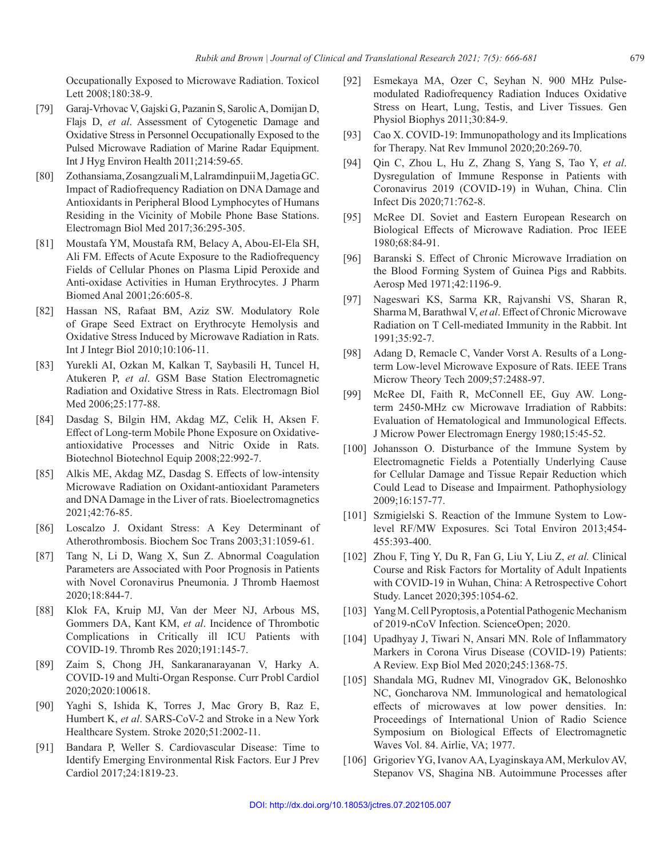Occupationally Exposed to Microwave Radiation. Toxicol Lett 2008;180:38-9.

- <span id="page-13-0"></span>[79] Garaj-Vrhovac V, Gajski G, Pazanin S, Sarolic A, Domijan D, Flajs D, *et al*. Assessment of Cytogenetic Damage and Oxidative Stress in Personnel Occupationally Exposed to the Pulsed Microwave Radiation of Marine Radar Equipment. Int J Hyg Environ Health 2011;214:59-65.
- <span id="page-13-1"></span>[80] Zothansiama, Zosangzuali M, Lalramdinpuii M, JagetiaGC. Impact of Radiofrequency Radiation on DNA Damage and Antioxidants in Peripheral Blood Lymphocytes of Humans Residing in the Vicinity of Mobile Phone Base Stations. Electromagn Biol Med 2017;36:295-305.
- <span id="page-13-2"></span>[81] Moustafa YM, Moustafa RM, Belacy A, Abou-El-Ela SH, Ali FM. Effects of Acute Exposure to the Radiofrequency Fields of Cellular Phones on Plasma Lipid Peroxide and Anti-oxidase Activities in Human Erythrocytes. J Pharm Biomed Anal 2001;26:605-8.
- <span id="page-13-3"></span>[82] Hassan NS, Rafaat BM, Aziz SW. Modulatory Role of Grape Seed Extract on Erythrocyte Hemolysis and Oxidative Stress Induced by Microwave Radiation in Rats. Int J Integr Biol 2010;10:106-11.
- <span id="page-13-4"></span>[83] Yurekli AI, Ozkan M, Kalkan T, Saybasili H, Tuncel H, Atukeren P, *et al*. GSM Base Station Electromagnetic Radiation and Oxidative Stress in Rats. Electromagn Biol Med 2006;25:177-88.
- <span id="page-13-5"></span>[84] Dasdag S, Bilgin HM, Akdag MZ, Celik H, Aksen F. Effect of Long-term Mobile Phone Exposure on Oxidativeantioxidative Processes and Nitric Oxide in Rats. Biotechnol Biotechnol Equip 2008;22:992-7.
- <span id="page-13-6"></span>[85] Alkis ME, Akdag MZ, Dasdag S. Effects of low-intensity Microwave Radiation on Oxidant‐antioxidant Parameters and DNA Damage in the Liver of rats. Bioelectromagnetics 2021;42:76-85.
- <span id="page-13-7"></span>[86] Loscalzo J. Oxidant Stress: A Key Determinant of Atherothrombosis. Biochem Soc Trans 2003;31:1059-61.
- <span id="page-13-8"></span>[87] Tang N, Li D, Wang X, Sun Z. Abnormal Coagulation Parameters are Associated with Poor Prognosis in Patients with Novel Coronavirus Pneumonia. J Thromb Haemost 2020;18:844-7.
- <span id="page-13-9"></span>[88] Klok FA, Kruip MJ, Van der Meer NJ, Arbous MS, Gommers DA, Kant KM, *et al*. Incidence of Thrombotic Complications in Critically ill ICU Patients with COVID-19. Thromb Res 2020;191:145-7.
- <span id="page-13-10"></span>[89] Zaim S, Chong JH, Sankaranarayanan V, Harky A. COVID-19 and Multi-Organ Response. Curr Probl Cardiol 2020;2020:100618.
- <span id="page-13-11"></span>[90] Yaghi S, Ishida K, Torres J, Mac Grory B, Raz E, Humbert K, *et al*. SARS-CoV-2 and Stroke in a New York Healthcare System. Stroke 2020;51:2002-11.
- <span id="page-13-12"></span>[91] Bandara P, Weller S. Cardiovascular Disease: Time to Identify Emerging Environmental Risk Factors. Eur J Prev Cardiol 2017;24:1819-23.
- <span id="page-13-13"></span>[92] Esmekaya MA, Ozer C, Seyhan N. 900 MHz Pulsemodulated Radiofrequency Radiation Induces Oxidative Stress on Heart, Lung, Testis, and Liver Tissues. Gen Physiol Biophys 2011;30:84-9.
- <span id="page-13-14"></span>[93] Cao X. COVID-19: Immunopathology and its Implications for Therapy. Nat Rev Immunol 2020;20:269-70.
- <span id="page-13-15"></span>[94] Qin C, Zhou L, Hu Z, Zhang S, Yang S, Tao Y, *et al*. Dysregulation of Immune Response in Patients with Coronavirus 2019 (COVID-19) in Wuhan, China. Clin Infect Dis 2020;71:762-8.
- <span id="page-13-16"></span>[95] McRee DI. Soviet and Eastern European Research on Biological Effects of Microwave Radiation. Proc IEEE 1980;68:84-91.
- <span id="page-13-17"></span>[96] Baranski S. Effect of Chronic Microwave Irradiation on the Blood Forming System of Guinea Pigs and Rabbits. Aerosp Med 1971;42:1196-9.
- <span id="page-13-18"></span>[97] Nageswari KS, Sarma KR, Rajvanshi VS, Sharan R, Sharma M, Barathwal V, *et al*. Effect of Chronic Microwave Radiation on T Cell-mediated Immunity in the Rabbit. Int 1991;35:92-7.
- <span id="page-13-19"></span>[98] Adang D, Remacle C, Vander Vorst A. Results of a Longterm Low-level Microwave Exposure of Rats. IEEE Trans Microw Theory Tech 2009;57:2488-97.
- <span id="page-13-20"></span>[99] McRee DI, Faith R, McConnell EE, Guy AW. Longterm 2450-MHz cw Microwave Irradiation of Rabbits: Evaluation of Hematological and Immunological Effects. J Microw Power Electromagn Energy 1980;15:45-52.
- <span id="page-13-21"></span>[100] Johansson O. Disturbance of the Immune System by Electromagnetic Fields a Potentially Underlying Cause for Cellular Damage and Tissue Repair Reduction which Could Lead to Disease and Impairment. Pathophysiology 2009;16:157-77.
- <span id="page-13-22"></span>[101] Szmigielski S. Reaction of the Immune System to Lowlevel RF/MW Exposures. Sci Total Environ 2013;454- 455:393-400.
- <span id="page-13-23"></span>[102] Zhou F, Ting Y, Du R, Fan G, Liu Y, Liu Z, *et al.* Clinical Course and Risk Factors for Mortality of Adult Inpatients with COVID-19 in Wuhan, China: A Retrospective Cohort Study. Lancet 2020;395:1054-62.
- <span id="page-13-24"></span>[103] Yang M. Cell Pyroptosis, a Potential Pathogenic Mechanism of 2019-nCoV Infection. ScienceOpen; 2020.
- <span id="page-13-25"></span>[104] Upadhyay J, Tiwari N, Ansari MN. Role of Inflammatory Markers in Corona Virus Disease (COVID-19) Patients: A Review. Exp Biol Med 2020;245:1368-75.
- <span id="page-13-26"></span>[105] Shandala MG, Rudnev MI, Vinogradov GK, Belonoshko NC, Goncharova NM. Immunological and hematological effects of microwaves at low power densities. In: Proceedings of International Union of Radio Science Symposium on Biological Effects of Electromagnetic Waves Vol. 84. Airlie, VA; 1977.
- <span id="page-13-27"></span>[106] Grigoriev YG, Ivanov AA, Lyaginskaya AM, Merkulov AV, Stepanov VS, Shagina NB. Autoimmune Processes after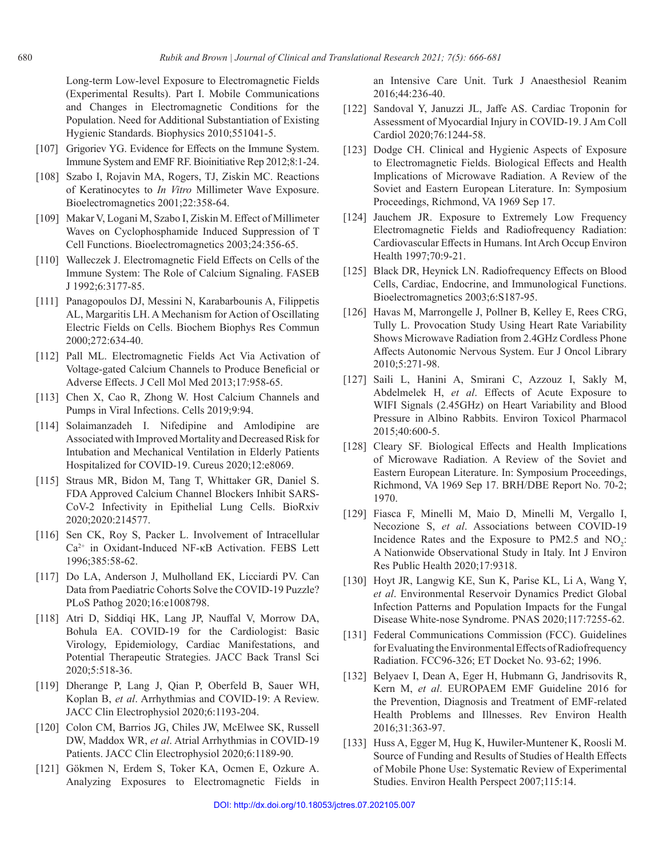Long-term Low-level Exposure to Electromagnetic Fields (Experimental Results). Part I. Mobile Communications and Changes in Electromagnetic Conditions for the Population. Need for Additional Substantiation of Existing Hygienic Standards. Biophysics 2010;551041-5.

- <span id="page-14-0"></span>[107] Grigoriev YG. Evidence for Effects on the Immune System. Immune System and EMF RF. Bioinitiative Rep 2012;8:1-24.
- <span id="page-14-1"></span>[108] Szabo I, Rojavin MA, Rogers, TJ, Ziskin MC. Reactions of Keratinocytes to *In Vitro* Millimeter Wave Exposure. Bioelectromagnetics 2001;22:358-64.
- <span id="page-14-2"></span>[109] Makar V, Logani M, Szabo I, Ziskin M. Effect of Millimeter Waves on Cyclophosphamide Induced Suppression of T Cell Functions. Bioelectromagnetics 2003;24:356-65.
- <span id="page-14-3"></span>[110] Walleczek J. Electromagnetic Field Effects on Cells of the Immune System: The Role of Calcium Signaling. FASEB J 1992;6:3177-85.
- <span id="page-14-4"></span>[111] Panagopoulos DJ, Messini N, Karabarbounis A, Filippetis AL, Margaritis LH. A Mechanism for Action of Oscillating Electric Fields on Cells. Biochem Biophys Res Commun 2000;272:634-40.
- <span id="page-14-5"></span>[112] Pall ML. Electromagnetic Fields Act Via Activation of Voltage-gated Calcium Channels to Produce Beneficial or Adverse Effects. J Cell Mol Med 2013;17:958-65.
- <span id="page-14-6"></span>[113] Chen X, Cao R, Zhong W. Host Calcium Channels and Pumps in Viral Infections. Cells 2019;9:94.
- <span id="page-14-7"></span>[114] Solaimanzadeh I. Nifedipine and Amlodipine are Associated with Improved Mortality and Decreased Risk for Intubation and Mechanical Ventilation in Elderly Patients Hospitalized for COVID-19. Cureus 2020;12:e8069.
- <span id="page-14-8"></span>[115] Straus MR, Bidon M, Tang T, Whittaker GR, Daniel S. FDA Approved Calcium Channel Blockers Inhibit SARS-CoV-2 Infectivity in Epithelial Lung Cells. BioRxiv 2020;2020:214577.
- <span id="page-14-9"></span>[116] Sen CK, Roy S, Packer L. Involvement of Intracellular Ca2+ in Oxidant-Induced NF-κB Activation. FEBS Lett 1996;385:58-62.
- <span id="page-14-10"></span>[117] Do LA, Anderson J, Mulholland EK, Licciardi PV. Can Data from Paediatric Cohorts Solve the COVID-19 Puzzle? PLoS Pathog 2020;16:e1008798.
- <span id="page-14-11"></span>[118] Atri D, Siddiqi HK, Lang JP, Nauffal V, Morrow DA, Bohula EA. COVID-19 for the Cardiologist: Basic Virology, Epidemiology, Cardiac Manifestations, and Potential Therapeutic Strategies. JACC Back Transl Sci 2020;5:518-36.
- <span id="page-14-12"></span>[119] Dherange P, Lang J, Qian P, Oberfeld B, Sauer WH, Koplan B, *et al*. Arrhythmias and COVID-19: A Review. JACC Clin Electrophysiol 2020;6:1193-204.
- <span id="page-14-13"></span>[120] Colon CM, Barrios JG, Chiles JW, McElwee SK, Russell DW, Maddox WR, *et al*. Atrial Arrhythmias in COVID-19 Patients. JACC Clin Electrophysiol 2020;6:1189-90.
- <span id="page-14-14"></span>[121] Gökmen N, Erdem S, Toker KA, Ocmen E, Ozkure A. Analyzing Exposures to Electromagnetic Fields in

an Intensive Care Unit. Turk J Anaesthesiol Reanim 2016;44:236-40.

- <span id="page-14-15"></span>[122] Sandoval Y, Januzzi JL, Jaffe AS. Cardiac Troponin for Assessment of Myocardial Injury in COVID-19. J Am Coll Cardiol 2020;76:1244-58.
- <span id="page-14-16"></span>[123] Dodge CH. Clinical and Hygienic Aspects of Exposure to Electromagnetic Fields. Biological Effects and Health Implications of Microwave Radiation. A Review of the Soviet and Eastern European Literature. In: Symposium Proceedings, Richmond, VA 1969 Sep 17.
- <span id="page-14-17"></span>[124] Jauchem JR. Exposure to Extremely Low Frequency Electromagnetic Fields and Radiofrequency Radiation: Cardiovascular Effects in Humans. Int Arch Occup Environ Health 1997;70:9-21.
- <span id="page-14-18"></span>[125] Black DR, Heynick LN. Radiofrequency Effects on Blood Cells, Cardiac, Endocrine, and Immunological Functions. Bioelectromagnetics 2003;6:S187-95.
- <span id="page-14-19"></span>[126] Havas M, Marrongelle J, Pollner B, Kelley E, Rees CRG, Tully L. Provocation Study Using Heart Rate Variability Shows Microwave Radiation from 2.4GHz Cordless Phone Affects Autonomic Nervous System. Eur J Oncol Library 2010;5:271-98.
- <span id="page-14-20"></span>[127] Saili L, Hanini A, Smirani C, Azzouz I, Sakly M, Abdelmelek H, *et al*. Effects of Acute Exposure to WIFI Signals (2.45GHz) on Heart Variability and Blood Pressure in Albino Rabbits. Environ Toxicol Pharmacol 2015;40:600-5.
- <span id="page-14-21"></span>[128] Cleary SF. Biological Effects and Health Implications of Microwave Radiation. A Review of the Soviet and Eastern European Literature. In: Symposium Proceedings, Richmond, VA 1969 Sep 17. BRH/DBE Report No. 70-2; 1970.
- <span id="page-14-22"></span>[129] Fiasca F, Minelli M, Maio D, Minelli M, Vergallo I, Necozione S, *et al*. Associations between COVID-19 Incidence Rates and the Exposure to PM2.5 and  $NO_2$ : A Nationwide Observational Study in Italy. Int J Environ Res Public Health 2020;17:9318.
- <span id="page-14-23"></span>[130] Hoyt JR, Langwig KE, Sun K, Parise KL, Li A, Wang Y, *et al*. Environmental Reservoir Dynamics Predict Global Infection Patterns and Population Impacts for the Fungal Disease White-nose Syndrome. PNAS 2020;117:7255-62.
- <span id="page-14-24"></span>[131] Federal Communications Commission (FCC). Guidelines for Evaluating the Environmental Effects of Radiofrequency Radiation. FCC96-326; ET Docket No. 93-62; 1996.
- <span id="page-14-25"></span>[132] Belyaev I, Dean A, Eger H, Hubmann G, Jandrisovits R, Kern M, *et al*. EUROPAEM EMF Guideline 2016 for the Prevention, Diagnosis and Treatment of EMF-related Health Problems and Illnesses. Rev Environ Health 2016;31:363-97.
- <span id="page-14-26"></span>[133] Huss A, Egger M, Hug K, Huwiler-Muntener K, Roosli M. Source of Funding and Results of Studies of Health Effects of Mobile Phone Use: Systematic Review of Experimental Studies. Environ Health Perspect 2007;115:14.